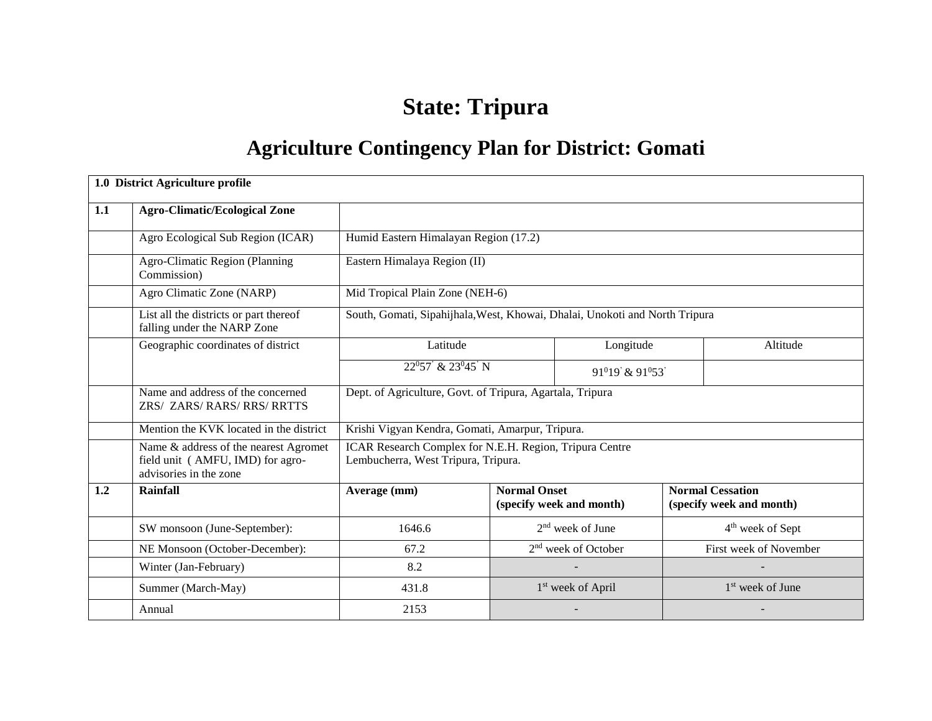# **State: Tripura**

# **Agriculture Contingency Plan for District: Gomati**

|     | 1.0 District Agriculture profile                                                                    |                                                                                                |                                                                             |                               |                         |                              |  |  |  |
|-----|-----------------------------------------------------------------------------------------------------|------------------------------------------------------------------------------------------------|-----------------------------------------------------------------------------|-------------------------------|-------------------------|------------------------------|--|--|--|
| 1.1 | <b>Agro-Climatic/Ecological Zone</b>                                                                |                                                                                                |                                                                             |                               |                         |                              |  |  |  |
|     | Agro Ecological Sub Region (ICAR)                                                                   |                                                                                                | Humid Eastern Himalayan Region (17.2)                                       |                               |                         |                              |  |  |  |
|     | Agro-Climatic Region (Planning<br>Commission)                                                       | Eastern Himalaya Region (II)                                                                   |                                                                             |                               |                         |                              |  |  |  |
|     | Agro Climatic Zone (NARP)                                                                           | Mid Tropical Plain Zone (NEH-6)                                                                |                                                                             |                               |                         |                              |  |  |  |
|     | List all the districts or part thereof<br>falling under the NARP Zone                               |                                                                                                | South, Gomati, Sipahijhala, West, Khowai, Dhalai, Unokoti and North Tripura |                               |                         |                              |  |  |  |
|     | Geographic coordinates of district                                                                  | Latitude<br>Longitude<br>Altitude                                                              |                                                                             |                               |                         |                              |  |  |  |
|     |                                                                                                     | 22°57' & 23°45' N<br>91 <sup>0</sup> 19' & 91 <sup>0</sup> 53'                                 |                                                                             |                               |                         |                              |  |  |  |
|     | Name and address of the concerned<br>ZRS/ ZARS/RARS/RRS/RRTTS                                       | Dept. of Agriculture, Govt. of Tripura, Agartala, Tripura                                      |                                                                             |                               |                         |                              |  |  |  |
|     | Mention the KVK located in the district                                                             | Krishi Vigyan Kendra, Gomati, Amarpur, Tripura.                                                |                                                                             |                               |                         |                              |  |  |  |
|     | Name & address of the nearest Agromet<br>field unit (AMFU, IMD) for agro-<br>advisories in the zone | ICAR Research Complex for N.E.H. Region, Tripura Centre<br>Lembucherra, West Tripura, Tripura. |                                                                             |                               |                         |                              |  |  |  |
| 1.2 | <b>Rainfall</b>                                                                                     | Average (mm)                                                                                   | <b>Normal Onset</b>                                                         | (specify week and month)      | <b>Normal Cessation</b> | (specify week and month)     |  |  |  |
|     | SW monsoon (June-September):                                                                        | 1646.6                                                                                         |                                                                             | $2nd$ week of June            |                         | 4 <sup>th</sup> week of Sept |  |  |  |
|     | NE Monsoon (October-December):                                                                      | $2nd$ week of October<br>First week of November<br>67.2                                        |                                                                             |                               |                         |                              |  |  |  |
|     | Winter (Jan-February)                                                                               | 8.2                                                                                            |                                                                             |                               |                         |                              |  |  |  |
|     | Summer (March-May)                                                                                  | 431.8                                                                                          |                                                                             | 1 <sup>st</sup> week of April |                         | 1 <sup>st</sup> week of June |  |  |  |
|     | Annual                                                                                              | 2153                                                                                           |                                                                             |                               |                         |                              |  |  |  |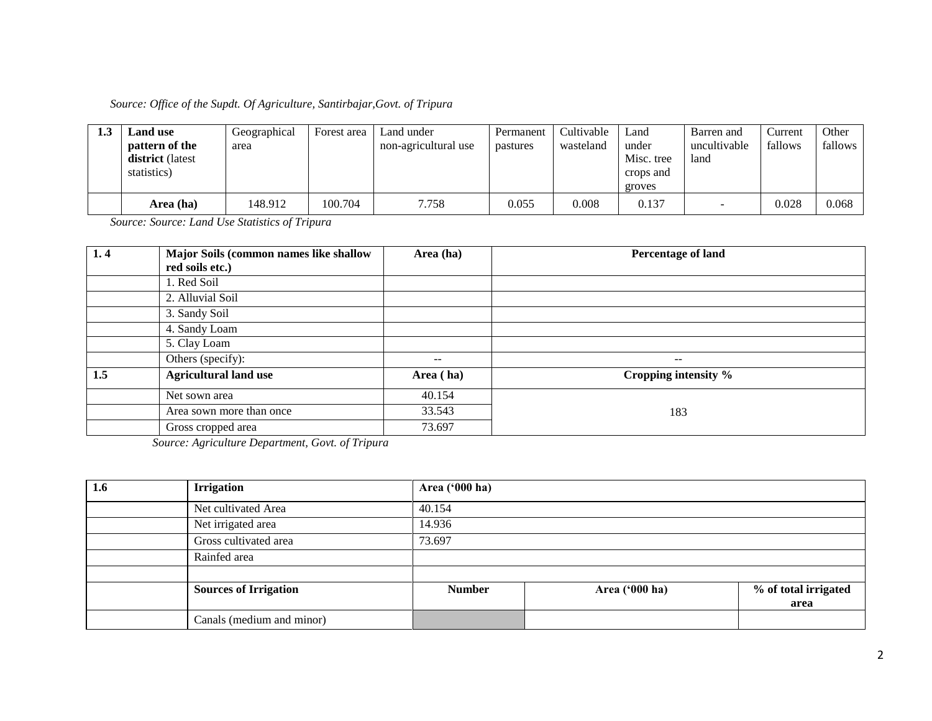| 1.J | Land use                | Geographical | Forest area | Land under           | Permanent | Cultivable | Land       | Barren and               | <b>Current</b> | Other   |
|-----|-------------------------|--------------|-------------|----------------------|-----------|------------|------------|--------------------------|----------------|---------|
|     | <b>pattern of the</b>   | area         |             | non-agricultural use | pastures  | wasteland  | under      | uncultivable             | fallows        | fallows |
|     | <b>district</b> (latest |              |             |                      |           |            | Misc. tree | land                     |                |         |
|     | statistics)             |              |             |                      |           |            | crops and  |                          |                |         |
|     |                         |              |             |                      |           |            | groves     |                          |                |         |
|     | Area (ha)               | 148.912      | 100.704     | 7.758                | 0.055     | 0.008      | 0.137      | $\overline{\phantom{0}}$ | 0.028          | 0.068   |

*Source: Source: Land Use Statistics of Tripura* 

| 1.4 | <b>Major Soils (common names like shallow)</b> | Area (ha) | Percentage of land       |
|-----|------------------------------------------------|-----------|--------------------------|
|     | red soils etc.)                                |           |                          |
|     | 1. Red Soil                                    |           |                          |
|     | 2. Alluvial Soil                               |           |                          |
|     | 3. Sandy Soil                                  |           |                          |
|     | 4. Sandy Loam                                  |           |                          |
|     | 5. Clay Loam                                   |           |                          |
|     | Others (specify):                              | $- -$     | $\overline{\phantom{m}}$ |
| 1.5 | <b>Agricultural land use</b>                   | Area (ha) | Cropping intensity %     |
|     | Net sown area                                  | 40.154    |                          |
|     | Area sown more than once                       | 33.543    | 183                      |
|     | Gross cropped area                             | 73.697    |                          |

*Source: Agriculture Department, Govt. of Tripura*

| $1.6\phantom{0}$ | <b>Irrigation</b>            | Area ('000 ha) |                |                      |
|------------------|------------------------------|----------------|----------------|----------------------|
|                  | Net cultivated Area          | 40.154         |                |                      |
|                  | Net irrigated area           | 14.936         |                |                      |
|                  | Gross cultivated area        | 73.697         |                |                      |
|                  | Rainfed area                 |                |                |                      |
|                  |                              |                |                |                      |
|                  | <b>Sources of Irrigation</b> | <b>Number</b>  | Area ('000 ha) | % of total irrigated |
|                  |                              |                |                | area                 |
|                  | Canals (medium and minor)    |                |                |                      |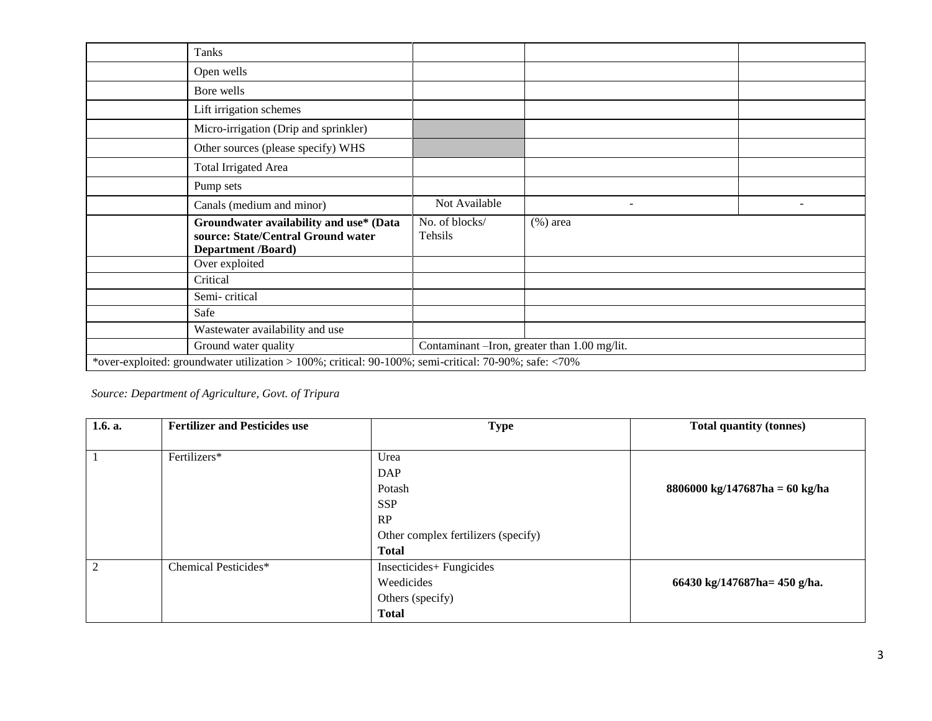| Tanks                                                                                                 |                                                                                                            |                                               |                          |                          |  |  |  |
|-------------------------------------------------------------------------------------------------------|------------------------------------------------------------------------------------------------------------|-----------------------------------------------|--------------------------|--------------------------|--|--|--|
|                                                                                                       | Open wells                                                                                                 |                                               |                          |                          |  |  |  |
|                                                                                                       | Bore wells                                                                                                 |                                               |                          |                          |  |  |  |
|                                                                                                       | Lift irrigation schemes                                                                                    |                                               |                          |                          |  |  |  |
|                                                                                                       | Micro-irrigation (Drip and sprinkler)                                                                      |                                               |                          |                          |  |  |  |
|                                                                                                       | Other sources (please specify) WHS                                                                         |                                               |                          |                          |  |  |  |
|                                                                                                       | <b>Total Irrigated Area</b>                                                                                |                                               |                          |                          |  |  |  |
|                                                                                                       | Pump sets                                                                                                  |                                               |                          |                          |  |  |  |
|                                                                                                       | Canals (medium and minor)                                                                                  | Not Available                                 | $\overline{\phantom{a}}$ | $\overline{\phantom{a}}$ |  |  |  |
|                                                                                                       | Groundwater availability and use* (Data<br>source: State/Central Ground water<br><b>Department /Board)</b> | No. of blocks/<br>Tehsils                     | $(\%)$ area              |                          |  |  |  |
|                                                                                                       | Over exploited                                                                                             |                                               |                          |                          |  |  |  |
| Critical                                                                                              |                                                                                                            |                                               |                          |                          |  |  |  |
|                                                                                                       | Semi-critical                                                                                              |                                               |                          |                          |  |  |  |
| Safe                                                                                                  |                                                                                                            |                                               |                          |                          |  |  |  |
|                                                                                                       | Wastewater availability and use                                                                            |                                               |                          |                          |  |  |  |
|                                                                                                       | Ground water quality                                                                                       | Contaminant - Iron, greater than 1.00 mg/lit. |                          |                          |  |  |  |
| *over-exploited: groundwater utilization > 100%; critical: 90-100%; semi-critical: 70-90%; safe: <70% |                                                                                                            |                                               |                          |                          |  |  |  |

# *Source: Department of Agriculture, Govt. of Tripura*

| 1.6. a.        | <b>Fertilizer and Pesticides use</b> | <b>Type</b>                         | <b>Total quantity (tonnes)</b>                           |
|----------------|--------------------------------------|-------------------------------------|----------------------------------------------------------|
|                |                                      |                                     |                                                          |
|                | Fertilizers*                         | Urea                                |                                                          |
|                |                                      | <b>DAP</b>                          |                                                          |
|                |                                      | Potash                              | $8806000 \text{ kg}/147687 \text{ha} = 60 \text{ kg/ha}$ |
|                |                                      | <b>SSP</b>                          |                                                          |
|                |                                      | RP                                  |                                                          |
|                |                                      | Other complex fertilizers (specify) |                                                          |
|                |                                      | <b>Total</b>                        |                                                          |
| $\overline{2}$ | Chemical Pesticides*                 | Insecticides+ Fungicides            |                                                          |
|                |                                      | Weedicides                          | 66430 kg/147687ha= 450 g/ha.                             |
|                |                                      | Others (specify)                    |                                                          |
|                |                                      | <b>Total</b>                        |                                                          |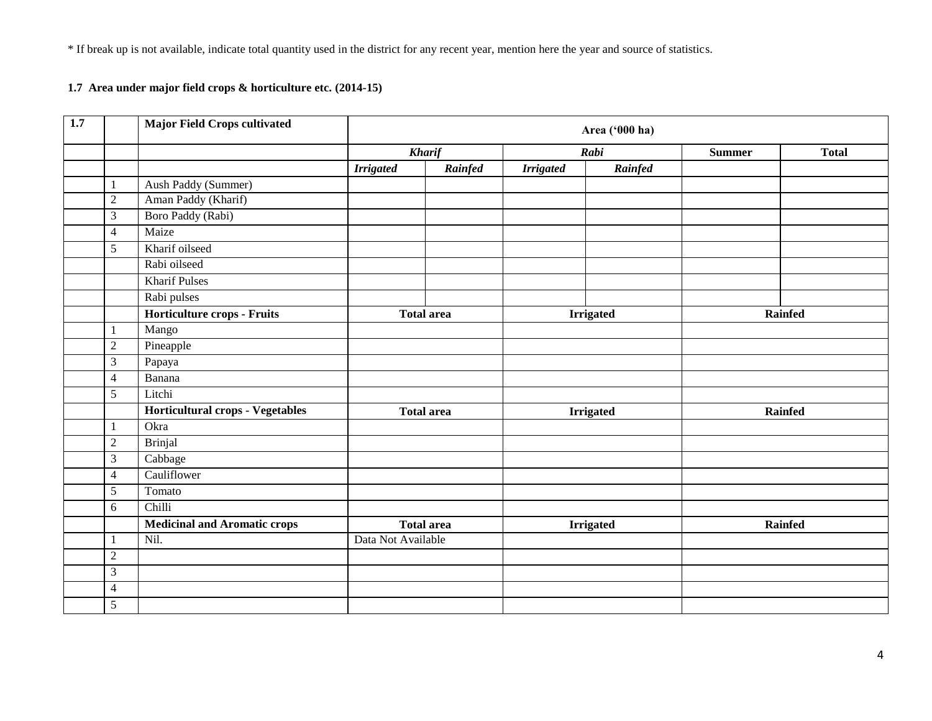\* If break up is not available, indicate total quantity used in the district for any recent year, mention here the year and source of statistics.

## **1.7 Area under major field crops & horticulture etc. (2014-15)**

| 1.7 |                | <b>Major Field Crops cultivated</b>     | Area ('000 ha)     |                   |                  |                  |               |              |
|-----|----------------|-----------------------------------------|--------------------|-------------------|------------------|------------------|---------------|--------------|
|     |                |                                         |                    | <b>Kharif</b>     | Rabi             |                  | <b>Summer</b> | <b>Total</b> |
|     |                |                                         | <b>Irrigated</b>   | Rainfed           | <b>Irrigated</b> | Rainfed          |               |              |
|     | 1              | Aush Paddy (Summer)                     |                    |                   |                  |                  |               |              |
|     | $\sqrt{2}$     | Aman Paddy (Kharif)                     |                    |                   |                  |                  |               |              |
|     | $\mathfrak{Z}$ | Boro Paddy (Rabi)                       |                    |                   |                  |                  |               |              |
|     | $\overline{4}$ | Maize                                   |                    |                   |                  |                  |               |              |
|     | 5              | Kharif oilseed                          |                    |                   |                  |                  |               |              |
|     |                | Rabi oilseed                            |                    |                   |                  |                  |               |              |
|     |                | <b>Kharif Pulses</b>                    |                    |                   |                  |                  |               |              |
|     |                | Rabi pulses                             |                    |                   |                  |                  |               |              |
|     |                | Horticulture crops - Fruits             |                    | <b>Total area</b> |                  | <b>Irrigated</b> | Rainfed       |              |
|     |                | Mango                                   |                    |                   |                  |                  |               |              |
|     | $\overline{2}$ | Pineapple                               |                    |                   |                  |                  |               |              |
|     | $\mathfrak{Z}$ | Papaya                                  |                    |                   |                  |                  |               |              |
|     | $\overline{4}$ | Banana                                  |                    |                   |                  |                  |               |              |
|     | $\sqrt{5}$     | Litchi                                  |                    |                   |                  |                  |               |              |
|     |                | <b>Horticultural crops - Vegetables</b> |                    | <b>Total area</b> | <b>Irrigated</b> |                  | Rainfed       |              |
|     | 1              | Okra                                    |                    |                   |                  |                  |               |              |
|     | $\overline{2}$ | <b>Brinjal</b>                          |                    |                   |                  |                  |               |              |
|     | $\mathfrak{Z}$ | Cabbage                                 |                    |                   |                  |                  |               |              |
|     | $\overline{4}$ | Cauliflower                             |                    |                   |                  |                  |               |              |
|     | 5              | Tomato                                  |                    |                   |                  |                  |               |              |
|     | $6\,$          | Chilli                                  |                    |                   |                  |                  |               |              |
|     |                | <b>Medicinal and Aromatic crops</b>     |                    | <b>Total area</b> |                  | <b>Irrigated</b> |               | Rainfed      |
|     | 1              | Nil.                                    | Data Not Available |                   |                  |                  |               |              |
|     | $\sqrt{2}$     |                                         |                    |                   |                  |                  |               |              |
|     | $\mathfrak{Z}$ |                                         |                    |                   |                  |                  |               |              |
|     | $\overline{4}$ |                                         |                    |                   |                  |                  |               |              |
|     | $\overline{5}$ |                                         |                    |                   |                  |                  |               |              |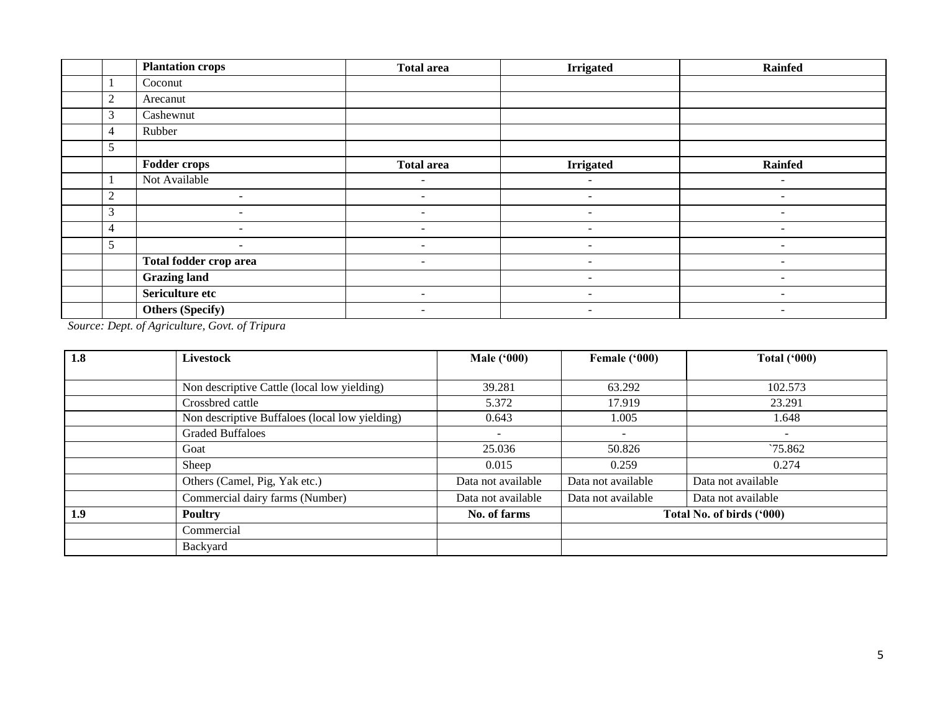|                | <b>Plantation crops</b>  | <b>Total area</b>        | <b>Irrigated</b>         | Rainfed                  |
|----------------|--------------------------|--------------------------|--------------------------|--------------------------|
|                | Coconut                  |                          |                          |                          |
| $\overline{2}$ | Arecanut                 |                          |                          |                          |
| $\mathfrak{Z}$ | Cashewnut                |                          |                          |                          |
| $\overline{4}$ | Rubber                   |                          |                          |                          |
| 5              |                          |                          |                          |                          |
|                | <b>Fodder crops</b>      | <b>Total area</b>        | <b>Irrigated</b>         | <b>Rainfed</b>           |
|                | Not Available            | -                        |                          |                          |
| $\overline{2}$ | $\overline{\phantom{0}}$ | ۰                        |                          |                          |
| 3              | $\sim$                   | $\overline{\phantom{a}}$ | $\sim$                   | $\sim$                   |
| $\overline{4}$ |                          |                          |                          |                          |
| 5              | $\overline{\phantom{a}}$ | $\overline{\phantom{0}}$ | $\overline{\phantom{a}}$ | -                        |
|                | Total fodder crop area   | $\overline{\phantom{a}}$ | $\overline{\phantom{a}}$ | $\overline{\phantom{0}}$ |
|                | <b>Grazing land</b>      |                          | $\overline{\phantom{a}}$ | -                        |
|                | Sericulture etc          | $\sim$                   | $\overline{\phantom{a}}$ | $\sim$                   |
|                | <b>Others (Specify)</b>  | $\sim$                   | $\overline{\phantom{0}}$ | $\sim$                   |

*Source: Dept. of Agriculture, Govt. of Tripura*

| 1.8 | <b>Livestock</b>                               | <b>Male</b> ('000)       | Female ('000)      | Total $(900)$             |
|-----|------------------------------------------------|--------------------------|--------------------|---------------------------|
|     |                                                |                          |                    |                           |
|     | Non descriptive Cattle (local low yielding)    | 39.281                   | 63.292             | 102.573                   |
|     | Crossbred cattle                               | 5.372                    | 17.919             | 23.291                    |
|     | Non descriptive Buffaloes (local low yielding) | 0.643                    | 1.005              | 1.648                     |
|     | <b>Graded Buffaloes</b>                        | $\overline{\phantom{0}}$ | ۰                  | $\overline{\phantom{0}}$  |
|     | Goat                                           | 25.036                   | 50.826             | $\frac{1}{2}$ 75.862      |
|     | Sheep                                          | 0.015                    | 0.259              | 0.274                     |
|     | Others (Camel, Pig, Yak etc.)                  | Data not available       | Data not available | Data not available        |
|     | Commercial dairy farms (Number)                | Data not available       | Data not available | Data not available        |
| 1.9 | <b>Poultry</b>                                 | No. of farms             |                    | Total No. of birds ('000) |
|     | Commercial                                     |                          |                    |                           |
|     | Backyard                                       |                          |                    |                           |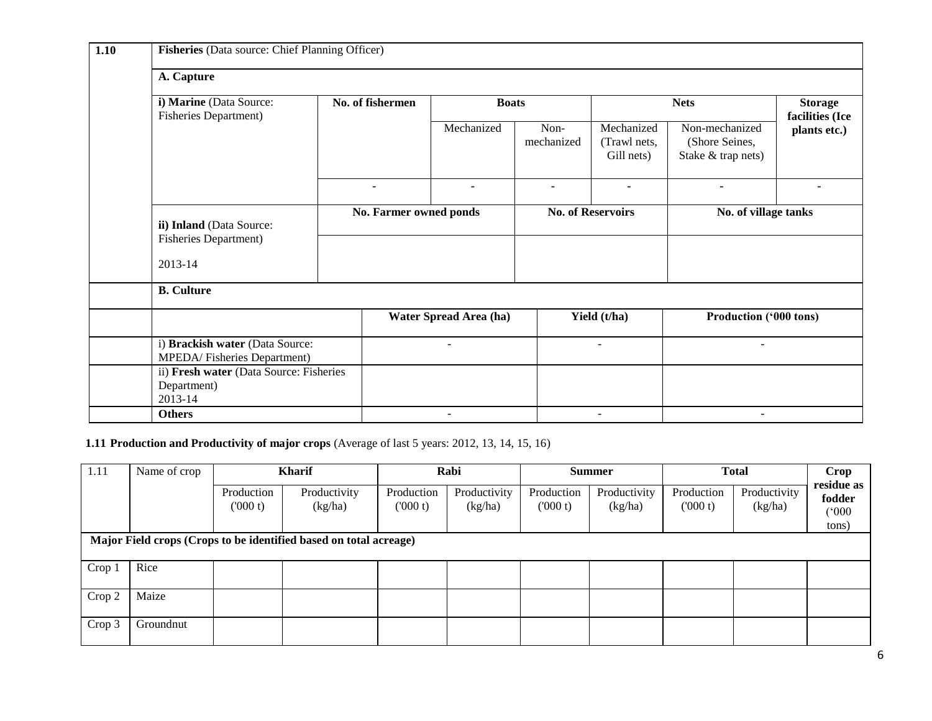| 1.10 | Fisheries (Data source: Chief Planning Officer)                   |                  |                          |                    |                                          |                                                        |                                   |  |  |  |  |  |
|------|-------------------------------------------------------------------|------------------|--------------------------|--------------------|------------------------------------------|--------------------------------------------------------|-----------------------------------|--|--|--|--|--|
|      | A. Capture                                                        |                  |                          |                    |                                          |                                                        |                                   |  |  |  |  |  |
|      | i) Marine (Data Source:<br><b>Fisheries Department)</b>           | No. of fishermen | <b>Boats</b>             |                    | <b>Nets</b>                              |                                                        | <b>Storage</b><br>facilities (Ice |  |  |  |  |  |
|      |                                                                   |                  | Mechanized               | Non-<br>mechanized | Mechanized<br>(Trawl nets,<br>Gill nets) | Non-mechanized<br>(Shore Seines,<br>Stake & trap nets) | plants etc.)                      |  |  |  |  |  |
|      |                                                                   | $\blacksquare$   | $\blacksquare$           | $\blacksquare$     | $\blacksquare$                           | $\blacksquare$                                         | ۰                                 |  |  |  |  |  |
|      | ii) Inland (Data Source:                                          |                  | No. Farmer owned ponds   |                    | <b>No. of Reservoirs</b>                 | No. of village tanks                                   |                                   |  |  |  |  |  |
|      | <b>Fisheries Department)</b><br>2013-14                           |                  |                          |                    |                                          |                                                        |                                   |  |  |  |  |  |
|      | <b>B.</b> Culture                                                 |                  |                          |                    |                                          |                                                        |                                   |  |  |  |  |  |
|      |                                                                   |                  | Water Spread Area (ha)   |                    | Yield (t/ha)                             | Production ('000 tons)                                 |                                   |  |  |  |  |  |
|      | i) Brackish water (Data Source:<br>MPEDA/Fisheries Department)    |                  | $\overline{\phantom{a}}$ |                    | $\overline{\phantom{a}}$                 | $\blacksquare$                                         |                                   |  |  |  |  |  |
|      | ii) Fresh water (Data Source: Fisheries<br>Department)<br>2013-14 |                  |                          |                    |                                          |                                                        |                                   |  |  |  |  |  |
|      | <b>Others</b>                                                     |                  |                          |                    |                                          |                                                        |                                   |  |  |  |  |  |

## **1.11 Production and Productivity of major crops** (Average of last 5 years: 2012, 13, 14, 15, 16)

| 1.11   | Name of crop                                                      | <b>Kharif</b>         |                         | Rabi<br><b>Summer</b>  |                         |                       | <b>Total</b>            | Crop                  |                         |                                        |  |
|--------|-------------------------------------------------------------------|-----------------------|-------------------------|------------------------|-------------------------|-----------------------|-------------------------|-----------------------|-------------------------|----------------------------------------|--|
|        |                                                                   | Production<br>(000 t) | Productivity<br>(kg/ha) | Production<br>(1000 t) | Productivity<br>(kg/ha) | Production<br>(000 t) | Productivity<br>(kg/ha) | Production<br>(000 t) | Productivity<br>(kg/ha) | residue as<br>fodder<br>(000)<br>tons) |  |
|        | Major Field crops (Crops to be identified based on total acreage) |                       |                         |                        |                         |                       |                         |                       |                         |                                        |  |
| Crop 1 | Rice                                                              |                       |                         |                        |                         |                       |                         |                       |                         |                                        |  |
| Crop 2 | Maize                                                             |                       |                         |                        |                         |                       |                         |                       |                         |                                        |  |
| Crop 3 | Groundnut                                                         |                       |                         |                        |                         |                       |                         |                       |                         |                                        |  |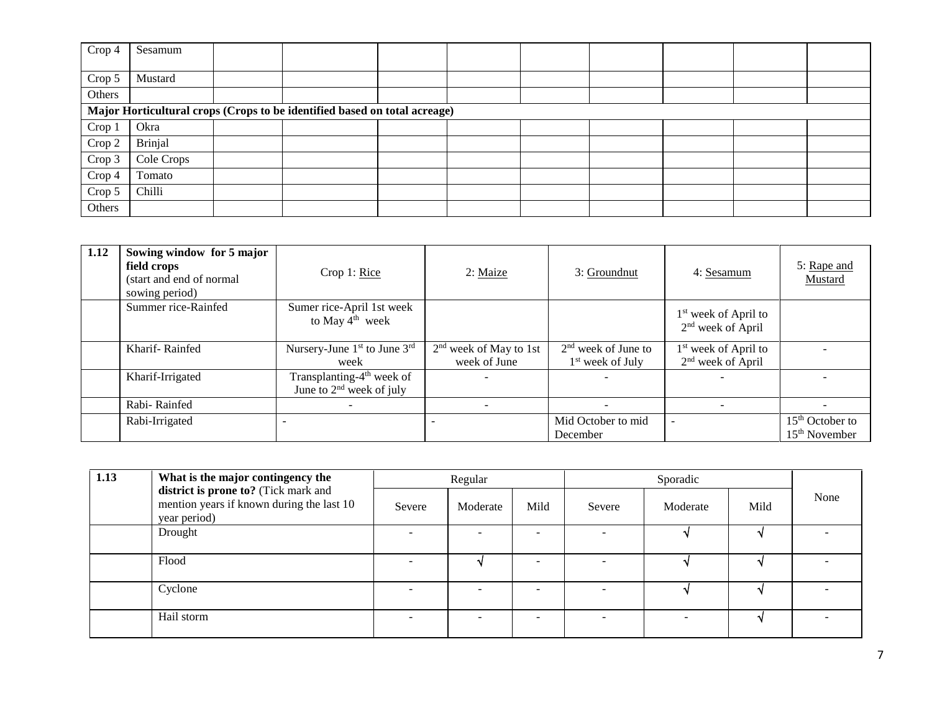| Crop 4 | Sesamum                                                                   |  |  |  |  |  |  |  |  |  |
|--------|---------------------------------------------------------------------------|--|--|--|--|--|--|--|--|--|
|        |                                                                           |  |  |  |  |  |  |  |  |  |
| Crop 5 | Mustard                                                                   |  |  |  |  |  |  |  |  |  |
| Others |                                                                           |  |  |  |  |  |  |  |  |  |
|        | Major Horticultural crops (Crops to be identified based on total acreage) |  |  |  |  |  |  |  |  |  |
| Crop 1 | Okra                                                                      |  |  |  |  |  |  |  |  |  |
| Crop 2 | Brinjal                                                                   |  |  |  |  |  |  |  |  |  |
| Crop 3 | Cole Crops                                                                |  |  |  |  |  |  |  |  |  |
| Crop 4 | Tomato                                                                    |  |  |  |  |  |  |  |  |  |
| Crop 5 | Chilli                                                                    |  |  |  |  |  |  |  |  |  |
| Others |                                                                           |  |  |  |  |  |  |  |  |  |

| 1.12 | Sowing window for 5 major<br>field crops<br>(start and end of normal<br>sowing period) | Crop 1: Rice                                                        | 2: Maize                                 | 3: Groundnut                                | 4: Sesamum                                              | 5: Rape and<br>Mustard               |
|------|----------------------------------------------------------------------------------------|---------------------------------------------------------------------|------------------------------------------|---------------------------------------------|---------------------------------------------------------|--------------------------------------|
|      | Summer rice-Rainfed                                                                    | Sumer rice-April 1st week<br>to May $4th$ week                      |                                          |                                             | $1st$ week of April to<br>$2nd$ week of April           |                                      |
|      | Kharif-Rainfed                                                                         | Nursery-June $1st$ to June $3rd$<br>week                            | $2nd$ week of May to 1st<br>week of June | $2nd$ week of June to<br>$1st$ week of July | $1st$ week of April to<br>2 <sup>nd</sup> week of April |                                      |
|      | Kharif-Irrigated                                                                       | Transplanting-4 <sup>th</sup> week of<br>June to $2nd$ week of july |                                          |                                             |                                                         |                                      |
|      | Rabi-Rainfed                                                                           |                                                                     |                                          |                                             |                                                         |                                      |
|      | Rabi-Irrigated                                                                         |                                                                     |                                          | Mid October to mid<br>December              |                                                         | $15th$ October to<br>$15th$ November |

| 1.13 | What is the major contingency the                                                                 | Regular |          |      | Sporadic |                |      |      |
|------|---------------------------------------------------------------------------------------------------|---------|----------|------|----------|----------------|------|------|
|      | district is prone to? (Tick mark and<br>mention years if known during the last 10<br>year period) | Severe  | Moderate | Mild | Severe   | Moderate       | Mild | None |
|      | Drought                                                                                           |         |          | -    |          |                |      |      |
|      | Flood                                                                                             |         |          |      |          |                |      |      |
|      | Cyclone                                                                                           |         |          | -    |          |                |      |      |
|      | Hail storm                                                                                        |         |          | -    |          | $\overline{a}$ |      |      |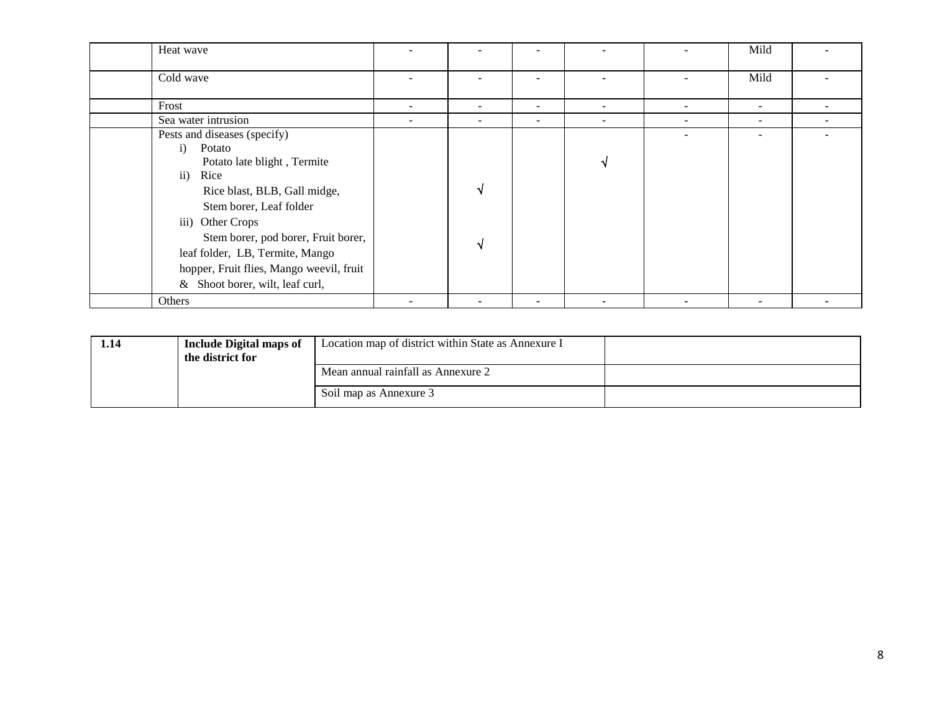| Heat wave                                |                          |                              |                          |                          | Mild                     |                          |
|------------------------------------------|--------------------------|------------------------------|--------------------------|--------------------------|--------------------------|--------------------------|
| Cold wave                                |                          |                              |                          |                          | Mild                     |                          |
| Frost                                    | $\overline{\phantom{0}}$ | $\qquad \qquad \blacksquare$ | $\overline{\phantom{a}}$ | $\overline{\phantom{a}}$ | -                        | $\overline{\phantom{0}}$ |
| Sea water intrusion                      | $\overline{\phantom{0}}$ | $\qquad \qquad \blacksquare$ | $\overline{\phantom{0}}$ | $\overline{\phantom{a}}$ | $\overline{\phantom{0}}$ | $\overline{\phantom{a}}$ |
| Pests and diseases (specify)             |                          |                              |                          |                          |                          |                          |
| $\mathbf{i}$<br>Potato                   |                          |                              |                          |                          |                          |                          |
| Potato late blight, Termite              |                          |                              |                          |                          |                          |                          |
| $\mathbf{ii}$<br>Rice                    |                          |                              |                          |                          |                          |                          |
| Rice blast, BLB, Gall midge,             |                          |                              |                          |                          |                          |                          |
| Stem borer, Leaf folder                  |                          |                              |                          |                          |                          |                          |
| iii) Other Crops                         |                          |                              |                          |                          |                          |                          |
| Stem borer, pod borer, Fruit borer,      |                          |                              |                          |                          |                          |                          |
| leaf folder, LB, Termite, Mango          |                          |                              |                          |                          |                          |                          |
| hopper, Fruit flies, Mango weevil, fruit |                          |                              |                          |                          |                          |                          |
| & Shoot borer, wilt, leaf curl,          |                          |                              |                          |                          |                          |                          |
| Others                                   | $\overline{\phantom{0}}$ |                              | $\overline{\phantom{0}}$ |                          | $\overline{\phantom{a}}$ | -                        |

| 1.14 | <b>Include Digital maps of</b><br>the district for | Location map of district within State as Annexure I |  |
|------|----------------------------------------------------|-----------------------------------------------------|--|
|      |                                                    | Mean annual rainfall as Annexure 2                  |  |
|      |                                                    | Soil map as Annexure 3                              |  |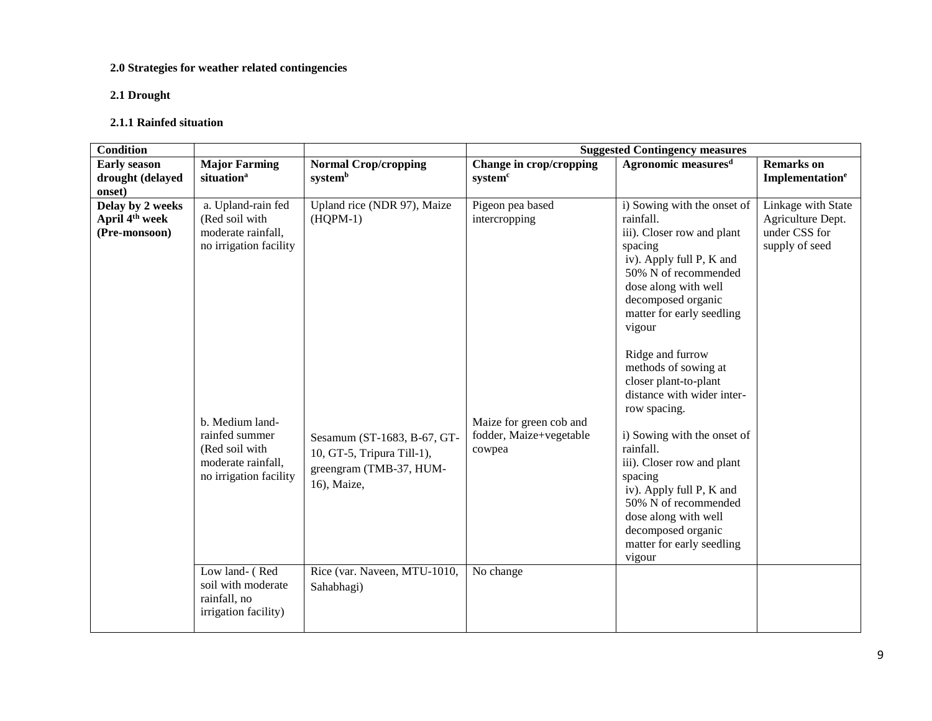### **2.0 Strategies for weather related contingencies**

### **2.1 Drought**

#### **2.1.1 Rainfed situation**

| <b>Condition</b>                                                |                                                                                                                                                                                             |                                                                                                                                                  |                                                                                                   | <b>Suggested Contingency measures</b>                                                                                                                                                                                                                                                                                                                                                                                                                                                                                                                             |                                                                            |
|-----------------------------------------------------------------|---------------------------------------------------------------------------------------------------------------------------------------------------------------------------------------------|--------------------------------------------------------------------------------------------------------------------------------------------------|---------------------------------------------------------------------------------------------------|-------------------------------------------------------------------------------------------------------------------------------------------------------------------------------------------------------------------------------------------------------------------------------------------------------------------------------------------------------------------------------------------------------------------------------------------------------------------------------------------------------------------------------------------------------------------|----------------------------------------------------------------------------|
| <b>Early season</b><br>drought (delayed                         | <b>Major Farming</b><br>situation <sup>a</sup>                                                                                                                                              | <b>Normal Crop/cropping</b><br>systemb                                                                                                           | Change in crop/cropping<br>system <sup>c</sup>                                                    | Agronomic measures <sup>d</sup>                                                                                                                                                                                                                                                                                                                                                                                                                                                                                                                                   | <b>Remarks</b> on<br>Implementation <sup>e</sup>                           |
| onset)                                                          |                                                                                                                                                                                             |                                                                                                                                                  |                                                                                                   |                                                                                                                                                                                                                                                                                                                                                                                                                                                                                                                                                                   |                                                                            |
| Delay by 2 weeks<br>April 4 <sup>th</sup> week<br>(Pre-monsoon) | a. Upland-rain fed<br>(Red soil with<br>moderate rainfall,<br>no irrigation facility<br>b. Medium land-<br>rainfed summer<br>(Red soil with<br>moderate rainfall,<br>no irrigation facility | Upland rice (NDR 97), Maize<br>$(HOPM-1)$<br>Sesamum (ST-1683, B-67, GT-<br>10, GT-5, Tripura Till-1),<br>greengram (TMB-37, HUM-<br>16), Maize, | Pigeon pea based<br>intercropping<br>Maize for green cob and<br>fodder, Maize+vegetable<br>cowpea | i) Sowing with the onset of<br>rainfall.<br>iii). Closer row and plant<br>spacing<br>iv). Apply full P, K and<br>50% N of recommended<br>dose along with well<br>decomposed organic<br>matter for early seedling<br>vigour<br>Ridge and furrow<br>methods of sowing at<br>closer plant-to-plant<br>distance with wider inter-<br>row spacing.<br>i) Sowing with the onset of<br>rainfall.<br>iii). Closer row and plant<br>spacing<br>iv). Apply full P, K and<br>50% N of recommended<br>dose along with well<br>decomposed organic<br>matter for early seedling | Linkage with State<br>Agriculture Dept.<br>under CSS for<br>supply of seed |
|                                                                 | Low land- (Red<br>soil with moderate<br>rainfall, no<br>irrigation facility)                                                                                                                | Rice (var. Naveen, MTU-1010,<br>Sahabhagi)                                                                                                       | No change                                                                                         |                                                                                                                                                                                                                                                                                                                                                                                                                                                                                                                                                                   |                                                                            |
|                                                                 |                                                                                                                                                                                             |                                                                                                                                                  |                                                                                                   | vigour                                                                                                                                                                                                                                                                                                                                                                                                                                                                                                                                                            |                                                                            |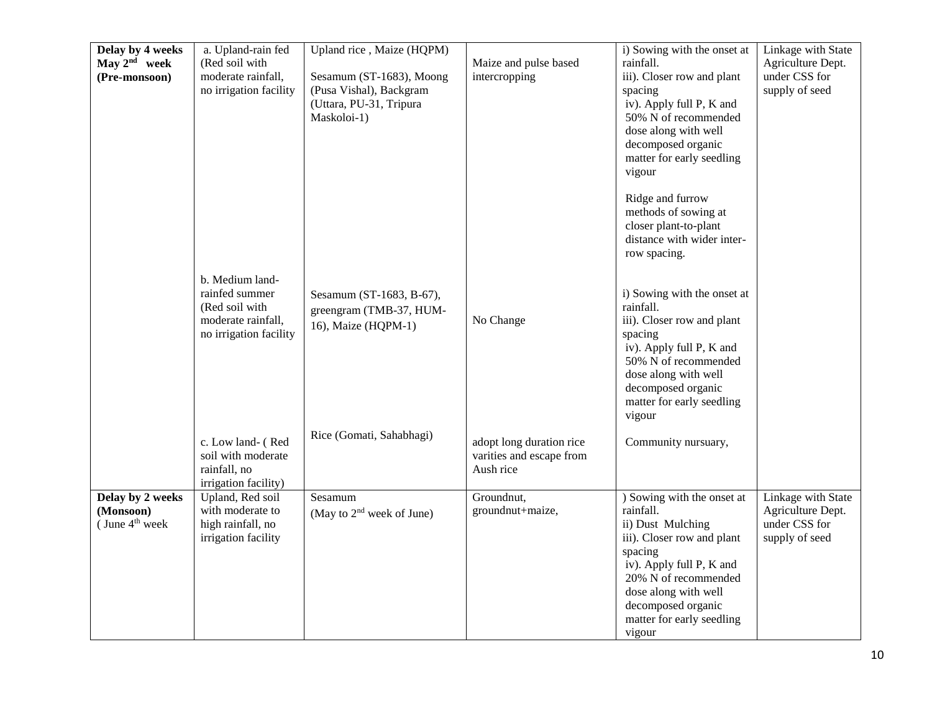| Delay by 4 weeks<br>May $2^{nd}$ week<br>(Pre-monsoon)      | a. Upland-rain fed<br>(Red soil with<br>moderate rainfall,<br>no irrigation facility                | Upland rice, Maize (HQPM)<br>Sesamum (ST-1683), Moong<br>(Pusa Vishal), Backgram<br>(Uttara, PU-31, Tripura<br>Maskoloi-1) | Maize and pulse based<br>intercropping                            | i) Sowing with the onset at<br>rainfall.<br>iii). Closer row and plant<br>spacing<br>iv). Apply full P, K and<br>50% N of recommended<br>dose along with well<br>decomposed organic<br>matter for early seedling<br>vigour                     | <b>Linkage with State</b><br>Agriculture Dept.<br>under CSS for<br>supply of seed |
|-------------------------------------------------------------|-----------------------------------------------------------------------------------------------------|----------------------------------------------------------------------------------------------------------------------------|-------------------------------------------------------------------|------------------------------------------------------------------------------------------------------------------------------------------------------------------------------------------------------------------------------------------------|-----------------------------------------------------------------------------------|
|                                                             |                                                                                                     |                                                                                                                            |                                                                   | Ridge and furrow<br>methods of sowing at<br>closer plant-to-plant<br>distance with wider inter-<br>row spacing.                                                                                                                                |                                                                                   |
|                                                             | b. Medium land-<br>rainfed summer<br>(Red soil with<br>moderate rainfall,<br>no irrigation facility | Sesamum (ST-1683, B-67),<br>greengram (TMB-37, HUM-<br>16), Maize (HQPM-1)                                                 | No Change                                                         | i) Sowing with the onset at<br>rainfall.<br>iii). Closer row and plant<br>spacing<br>iv). Apply full P, K and<br>50% N of recommended<br>dose along with well<br>decomposed organic<br>matter for early seedling<br>vigour                     |                                                                                   |
|                                                             | c. Low land- (Red<br>soil with moderate<br>rainfall, no<br>irrigation facility)                     | Rice (Gomati, Sahabhagi)                                                                                                   | adopt long duration rice<br>varities and escape from<br>Aush rice | Community nursuary,                                                                                                                                                                                                                            |                                                                                   |
| Delay by 2 weeks<br>(Monsoon)<br>(June 4 <sup>th</sup> week | Upland, Red soil<br>with moderate to<br>high rainfall, no<br>irrigation facility                    | Sesamum<br>(May to $2nd$ week of June)                                                                                     | Groundnut,<br>groundnut+maize,                                    | ) Sowing with the onset at<br>rainfall.<br>ii) Dust Mulching<br>iii). Closer row and plant<br>spacing<br>iv). Apply full P, K and<br>20% N of recommended<br>dose along with well<br>decomposed organic<br>matter for early seedling<br>vigour | Linkage with State<br>Agriculture Dept.<br>under CSS for<br>supply of seed        |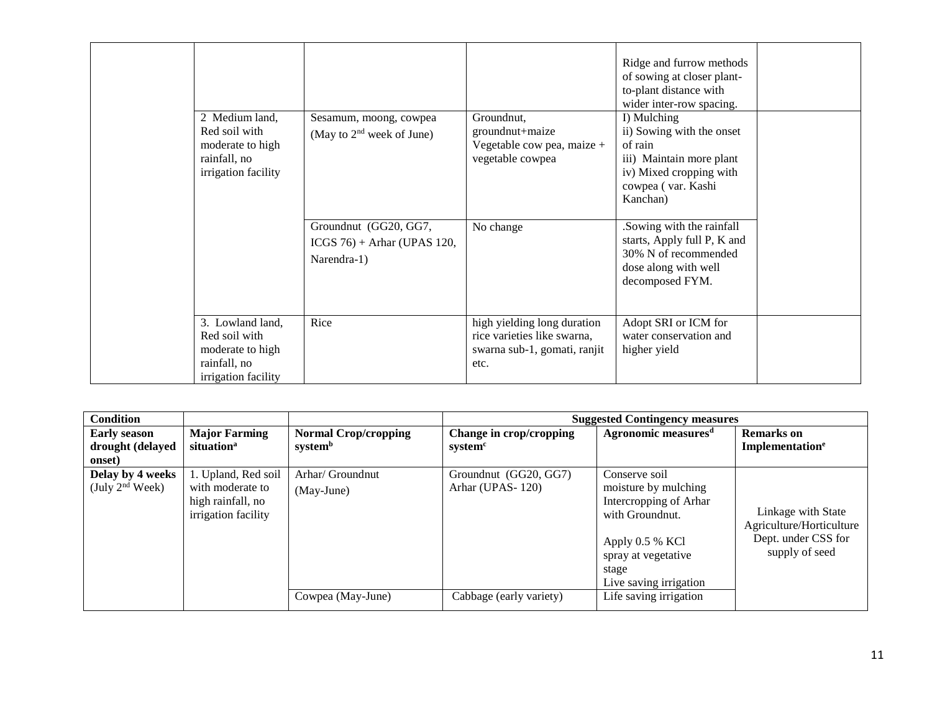| 2 Medium land,<br>Red soil with<br>moderate to high<br>rainfall, no<br>irrigation facility   | Sesamum, moong, cowpea<br>(May to $2nd$ week of June)                 | Groundnut,<br>groundnut+maize<br>Vegetable cow pea, maize +<br>vegetable cowpea                    | Ridge and furrow methods<br>of sowing at closer plant-<br>to-plant distance with<br>wider inter-row spacing.<br>I) Mulching<br>ii) Sowing with the onset<br>of rain<br>iii) Maintain more plant<br>iv) Mixed cropping with<br>cowpea (var. Kashi<br>Kanchan) |  |
|----------------------------------------------------------------------------------------------|-----------------------------------------------------------------------|----------------------------------------------------------------------------------------------------|--------------------------------------------------------------------------------------------------------------------------------------------------------------------------------------------------------------------------------------------------------------|--|
|                                                                                              | Groundnut (GG20, GG7,<br>$ICGS$ 76) + Arhar (UPAS 120,<br>Narendra-1) | No change                                                                                          | .Sowing with the rainfall<br>starts, Apply full P, K and<br>30% N of recommended<br>dose along with well<br>decomposed FYM.                                                                                                                                  |  |
| 3. Lowland land,<br>Red soil with<br>moderate to high<br>rainfall, no<br>irrigation facility | Rice                                                                  | high yielding long duration<br>rice varieties like swarna,<br>swarna sub-1, gomati, ranjit<br>etc. | Adopt SRI or ICM for<br>water conservation and<br>higher yield                                                                                                                                                                                               |  |

| <b>Condition</b>           |                                                              |                             |                         | <b>Suggested Contingency measures</b>                                                                                                          |                                                                                         |  |  |  |
|----------------------------|--------------------------------------------------------------|-----------------------------|-------------------------|------------------------------------------------------------------------------------------------------------------------------------------------|-----------------------------------------------------------------------------------------|--|--|--|
| <b>Early season</b>        | <b>Major Farming</b>                                         | <b>Normal Crop/cropping</b> | Change in crop/cropping | Agronomic measures <sup>d</sup>                                                                                                                | <b>Remarks</b> on                                                                       |  |  |  |
| drought (delayed           | situation <sup>a</sup>                                       | systemb                     | system <sup>c</sup>     |                                                                                                                                                | Implementation <sup>e</sup>                                                             |  |  |  |
| onset)<br>Delay by 4 weeks | 1. Upland, Red soil                                          | Arhar/ Groundnut            | Groundnut (GG20, GG7)   | Conserve soil                                                                                                                                  |                                                                                         |  |  |  |
| (July $2nd$ Week)          | with moderate to<br>high rainfall, no<br>irrigation facility | (May-June)                  | Arhar (UPAS-120)        | moisture by mulching<br>Intercropping of Arhar<br>with Groundnut.<br>Apply 0.5 % KCl<br>spray at vegetative<br>stage<br>Live saving irrigation | Linkage with State<br>Agriculture/Horticulture<br>Dept. under CSS for<br>supply of seed |  |  |  |
|                            |                                                              | Cowpea (May-June)           | Cabbage (early variety) | Life saving irrigation                                                                                                                         |                                                                                         |  |  |  |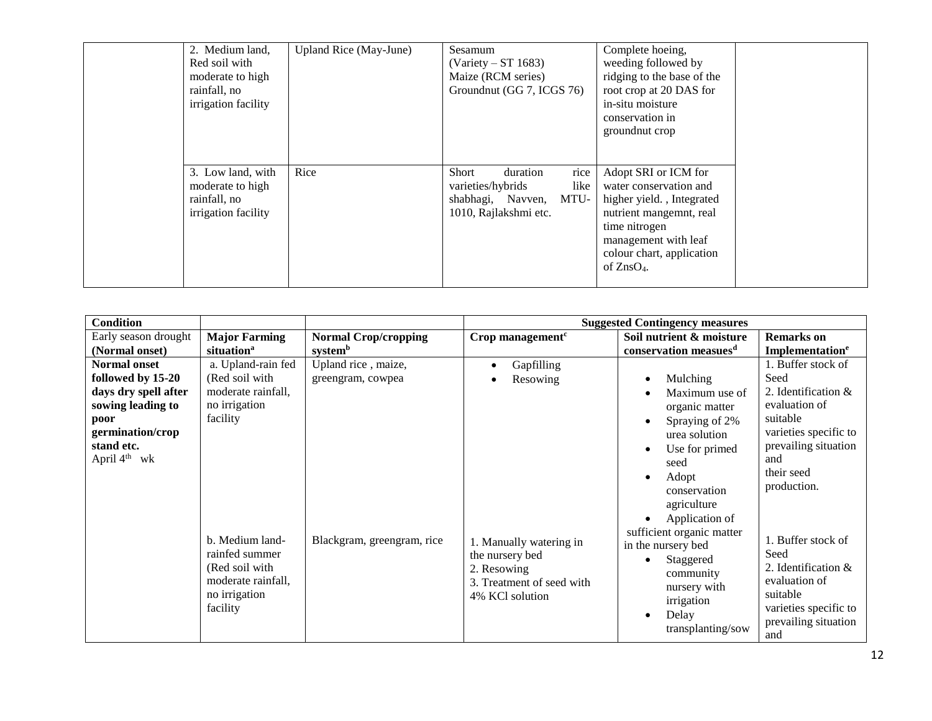| 2. Medium land,<br>Red soil with<br>moderate to high<br>rainfall, no<br>irrigation facility | Upland Rice (May-June) | Sesamum<br>$(Variety - ST 1683)$<br>Maize (RCM series)<br>Groundnut (GG 7, ICGS 76)                          | Complete hoeing,<br>weeding followed by<br>ridging to the base of the<br>root crop at 20 DAS for<br>in-situ moisture<br>conservation in<br>ground nut crop                                   |  |
|---------------------------------------------------------------------------------------------|------------------------|--------------------------------------------------------------------------------------------------------------|----------------------------------------------------------------------------------------------------------------------------------------------------------------------------------------------|--|
| 3. Low land, with<br>moderate to high<br>rainfall, no<br>irrigation facility                | Rice                   | rice<br>Short<br>duration<br>like<br>varieties/hybrids<br>MTU-<br>shabhagi, Navven,<br>1010, Rajlakshmi etc. | Adopt SRI or ICM for<br>water conservation and<br>higher yield., Integrated<br>nutrient mangemnt, real<br>time nitrogen<br>management with leaf<br>colour chart, application<br>of $ZnSO4$ . |  |

| <b>Condition</b>                                                                                                                                            |                                                                                                        |                                          |                                                                                                           | <b>Suggested Contingency measures</b>                                                                                                                   |                                                                                                                                                                        |
|-------------------------------------------------------------------------------------------------------------------------------------------------------------|--------------------------------------------------------------------------------------------------------|------------------------------------------|-----------------------------------------------------------------------------------------------------------|---------------------------------------------------------------------------------------------------------------------------------------------------------|------------------------------------------------------------------------------------------------------------------------------------------------------------------------|
| Early season drought                                                                                                                                        | <b>Major Farming</b>                                                                                   | <b>Normal Crop/cropping</b>              | Crop management <sup>c</sup>                                                                              | Soil nutrient & moisture                                                                                                                                | <b>Remarks</b> on                                                                                                                                                      |
| (Normal onset)                                                                                                                                              | situation <sup>a</sup>                                                                                 | systemb                                  |                                                                                                           | conservation measues <sup>d</sup>                                                                                                                       | Implementation <sup>e</sup>                                                                                                                                            |
| <b>Normal onset</b><br>followed by 15-20<br>days dry spell after<br>sowing leading to<br>poor<br>germination/crop<br>stand etc.<br>April 4 <sup>th</sup> wk | a. Upland-rain fed<br>(Red soil with<br>moderate rainfall,<br>no irrigation<br>facility                | Upland rice, maize,<br>greengram, cowpea | Gapfilling<br>Resowing                                                                                    | Mulching<br>Maximum use of<br>organic matter<br>Spraying of 2%<br>urea solution<br>Use for primed<br>seed<br>Adopt<br>conservation<br>agriculture       | 1. Buffer stock of<br>Seed<br>2. Identification $\&$<br>evaluation of<br>suitable<br>varieties specific to<br>prevailing situation<br>and<br>their seed<br>production. |
|                                                                                                                                                             | b. Medium land-<br>rainfed summer<br>(Red soil with<br>moderate rainfall,<br>no irrigation<br>facility | Blackgram, greengram, rice               | 1. Manually watering in<br>the nursery bed<br>2. Resowing<br>3. Treatment of seed with<br>4% KCl solution | Application of<br>sufficient organic matter<br>in the nursery bed<br>Staggered<br>community<br>nursery with<br>irrigation<br>Delay<br>transplanting/sow | 1. Buffer stock of<br>Seed<br>2. Identification $\&$<br>evaluation of<br>suitable<br>varieties specific to<br>prevailing situation<br>and                              |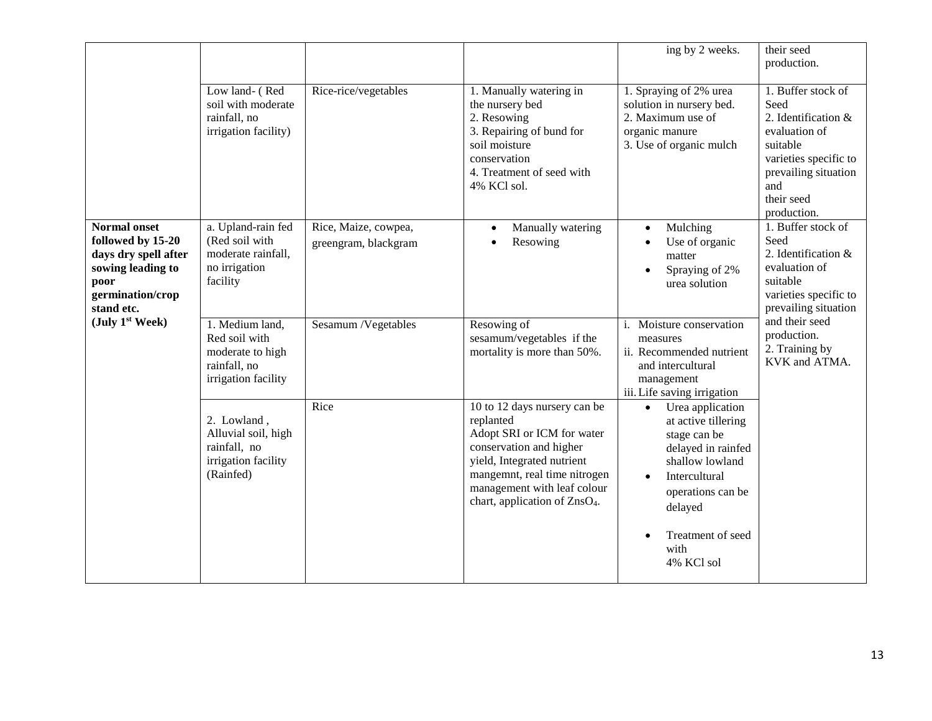|                                                                                                                                 |                                                                                             |                                              |                                                                                                                                                                                                                                              | ing by 2 weeks.                                                                                                                                                             | their seed<br>production.                                                                                                                                           |
|---------------------------------------------------------------------------------------------------------------------------------|---------------------------------------------------------------------------------------------|----------------------------------------------|----------------------------------------------------------------------------------------------------------------------------------------------------------------------------------------------------------------------------------------------|-----------------------------------------------------------------------------------------------------------------------------------------------------------------------------|---------------------------------------------------------------------------------------------------------------------------------------------------------------------|
|                                                                                                                                 | Low land- (Red<br>soil with moderate<br>rainfall, no<br>irrigation facility)                | Rice-rice/vegetables                         | 1. Manually watering in<br>the nursery bed<br>2. Resowing<br>3. Repairing of bund for<br>soil moisture<br>conservation<br>4. Treatment of seed with<br>4% KCl sol.                                                                           | 1. Spraying of 2% urea<br>solution in nursery bed.<br>2. Maximum use of<br>organic manure<br>3. Use of organic mulch                                                        | 1. Buffer stock of<br>Seed<br>2. Identification &<br>evaluation of<br>suitable<br>varieties specific to<br>prevailing situation<br>and<br>their seed<br>production. |
| <b>Normal onset</b><br>followed by 15-20<br>days dry spell after<br>sowing leading to<br>poor<br>germination/crop<br>stand etc. | a. Upland-rain fed<br>(Red soil with<br>moderate rainfall,<br>no irrigation<br>facility     | Rice, Maize, cowpea,<br>greengram, blackgram | Manually watering<br>$\bullet$<br>Resowing<br>$\bullet$                                                                                                                                                                                      | Mulching<br>$\bullet$<br>Use of organic<br>$\bullet$<br>matter<br>Spraying of 2%<br>$\bullet$<br>urea solution                                                              | 1. Buffer stock of<br>Seed<br>2. Identification &<br>evaluation of<br>suitable<br>varieties specific to<br>prevailing situation                                     |
| (July 1 <sup>st</sup> Week)                                                                                                     | 1. Medium land,<br>Red soil with<br>moderate to high<br>rainfall, no<br>irrigation facility | Sesamum /Vegetables                          | Resowing of<br>sesamum/vegetables if the<br>mortality is more than 50%.                                                                                                                                                                      | Moisture conservation<br>measures<br>ii. Recommended nutrient<br>and intercultural<br>management<br>iii. Life saving irrigation                                             | and their seed<br>production.<br>2. Training by<br>KVK and ATMA.                                                                                                    |
|                                                                                                                                 | 2. Lowland,<br>Alluvial soil, high<br>rainfall, no<br>irrigation facility<br>(Rainfed)      | Rice                                         | 10 to 12 days nursery can be<br>replanted<br>Adopt SRI or ICM for water<br>conservation and higher<br>yield, Integrated nutrient<br>mangemnt, real time nitrogen<br>management with leaf colour<br>chart, application of ZnsO <sub>4</sub> . | Urea application<br>$\bullet$<br>at active tillering<br>stage can be<br>delayed in rainfed<br>shallow lowland<br>Intercultural<br>$\bullet$<br>operations can be<br>delayed |                                                                                                                                                                     |
|                                                                                                                                 |                                                                                             |                                              |                                                                                                                                                                                                                                              | Treatment of seed<br>$\bullet$<br>with<br>4% KCl sol                                                                                                                        |                                                                                                                                                                     |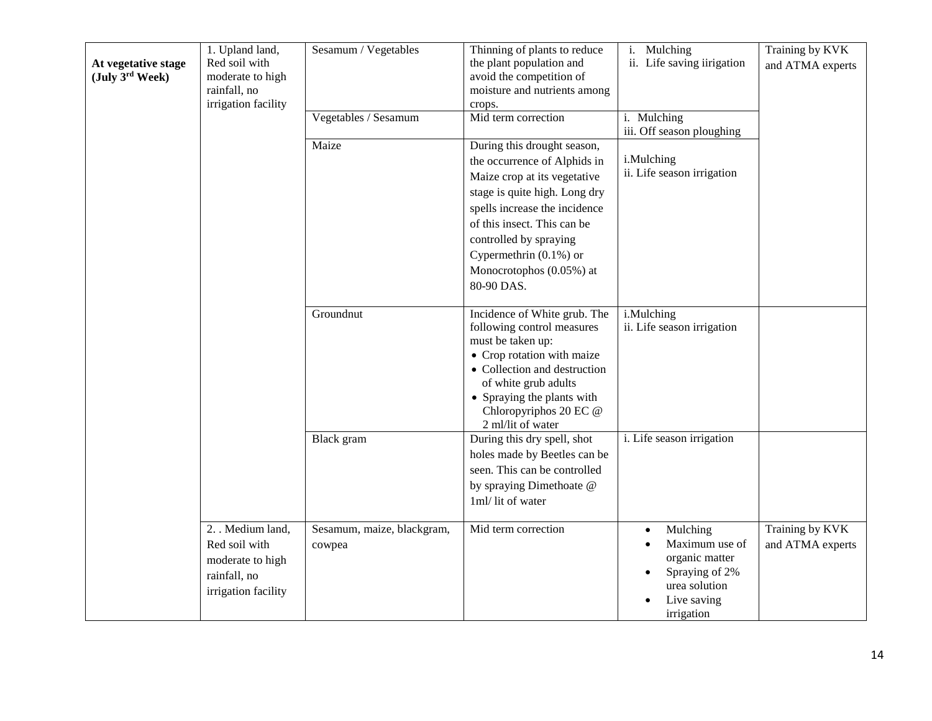| At vegetative stage<br>(July 3rd Week) | 1. Upland land,<br>Red soil with<br>moderate to high<br>rainfall, no<br>irrigation facility | Sesamum / Vegetables                 | Thinning of plants to reduce<br>the plant population and<br>avoid the competition of<br>moisture and nutrients among<br>crops.                                                                                                                                                                | i. Mulching<br>ii. Life saving iirigation                                                                    | Training by KVK<br>and ATMA experts |
|----------------------------------------|---------------------------------------------------------------------------------------------|--------------------------------------|-----------------------------------------------------------------------------------------------------------------------------------------------------------------------------------------------------------------------------------------------------------------------------------------------|--------------------------------------------------------------------------------------------------------------|-------------------------------------|
|                                        |                                                                                             | Vegetables / Sesamum                 | Mid term correction                                                                                                                                                                                                                                                                           | i. Mulching<br>iii. Off season ploughing                                                                     |                                     |
|                                        |                                                                                             | Maize                                | During this drought season,<br>the occurrence of Alphids in<br>Maize crop at its vegetative<br>stage is quite high. Long dry<br>spells increase the incidence<br>of this insect. This can be<br>controlled by spraying<br>Cypermethrin $(0.1\%)$ or<br>Monocrotophos (0.05%) at<br>80-90 DAS. | i.Mulching<br>ii. Life season irrigation                                                                     |                                     |
|                                        |                                                                                             | Groundnut                            | Incidence of White grub. The<br>following control measures<br>must be taken up:<br>• Crop rotation with maize<br>• Collection and destruction<br>of white grub adults<br>• Spraying the plants with<br>Chloropyriphos 20 EC @<br>2 ml/lit of water                                            | i.Mulching<br>ii. Life season irrigation                                                                     |                                     |
|                                        |                                                                                             | Black gram                           | During this dry spell, shot<br>holes made by Beetles can be<br>seen. This can be controlled<br>by spraying Dimethoate @<br>1ml/lit of water                                                                                                                                                   | i. Life season irrigation                                                                                    |                                     |
|                                        | 2. Medium land,<br>Red soil with<br>moderate to high<br>rainfall, no<br>irrigation facility | Sesamum, maize, blackgram,<br>cowpea | Mid term correction                                                                                                                                                                                                                                                                           | Mulching<br>Maximum use of<br>organic matter<br>Spraying of 2%<br>urea solution<br>Live saving<br>irrigation | Training by KVK<br>and ATMA experts |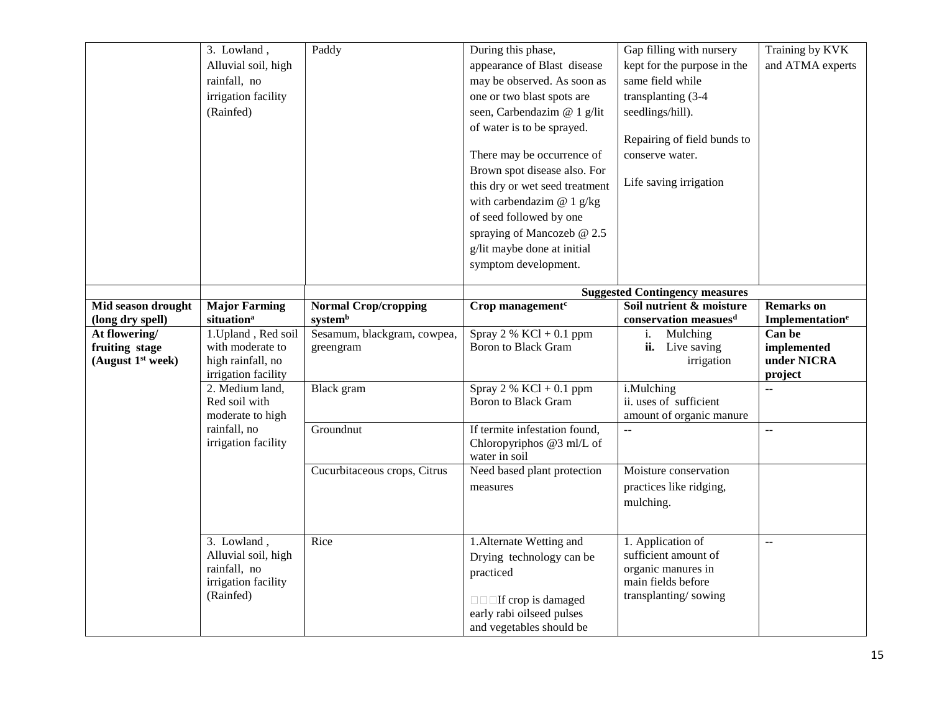|                               | 3. Lowland,                      | Paddy                        | During this phase,                                      | Gap filling with nursery              | Training by KVK             |
|-------------------------------|----------------------------------|------------------------------|---------------------------------------------------------|---------------------------------------|-----------------------------|
|                               | Alluvial soil, high              |                              | appearance of Blast disease                             | kept for the purpose in the           | and ATMA experts            |
|                               | rainfall, no                     |                              | may be observed. As soon as                             | same field while                      |                             |
|                               |                                  |                              |                                                         |                                       |                             |
|                               | irrigation facility              |                              | one or two blast spots are                              | transplanting (3-4)                   |                             |
|                               | (Rainfed)                        |                              | seen, Carbendazim @ 1 g/lit                             | seedlings/hill).                      |                             |
|                               |                                  |                              | of water is to be sprayed.                              | Repairing of field bunds to           |                             |
|                               |                                  |                              | There may be occurrence of                              | conserve water.                       |                             |
|                               |                                  |                              | Brown spot disease also. For                            |                                       |                             |
|                               |                                  |                              | this dry or wet seed treatment                          | Life saving irrigation                |                             |
|                               |                                  |                              |                                                         |                                       |                             |
|                               |                                  |                              | with carbendazim $@ 1 g/kg$                             |                                       |                             |
|                               |                                  |                              | of seed followed by one                                 |                                       |                             |
|                               |                                  |                              | spraying of Mancozeb @ 2.5                              |                                       |                             |
|                               |                                  |                              | g/lit maybe done at initial                             |                                       |                             |
|                               |                                  |                              | symptom development.                                    |                                       |                             |
|                               |                                  |                              |                                                         | <b>Suggested Contingency measures</b> |                             |
| Mid season drought            | <b>Major Farming</b>             | <b>Normal Crop/cropping</b>  | Crop management <sup>c</sup>                            | Soil nutrient & moisture              | <b>Remarks</b> on           |
| (long dry spell)              | situation <sup>a</sup>           | systemb                      |                                                         | conservation measues <sup>d</sup>     | Implementation <sup>e</sup> |
| At flowering/                 | 1. Upland, Red soil              | Sesamum, blackgram, cowpea,  | Spray 2 % $KCl + 0.1$ ppm                               | Mulching<br>i.                        | Can be                      |
| fruiting stage                | with moderate to                 | greengram                    | <b>Boron</b> to Black Gram                              | ii. Live saving                       | implemented                 |
| (August 1 <sup>st</sup> week) | high rainfall, no                |                              |                                                         | irrigation                            | under NICRA                 |
|                               | irrigation facility              |                              |                                                         |                                       | project                     |
|                               | 2. Medium land,<br>Red soil with | Black gram                   | Spray 2 % $KCl + 0.1$ ppm<br><b>Boron</b> to Black Gram | i.Mulching<br>ii. uses of sufficient  | $\mathbf{u}$                |
|                               | moderate to high                 |                              |                                                         | amount of organic manure              |                             |
|                               | rainfall, no                     | Groundnut                    | If termite infestation found,                           | $\mathbb{L}^{\frac{1}{2}}$            | $\overline{a}$              |
|                               | irrigation facility              |                              | Chloropyriphos @3 ml/L of                               |                                       |                             |
|                               |                                  |                              | water in soil                                           |                                       |                             |
|                               |                                  | Cucurbitaceous crops, Citrus | Need based plant protection                             | Moisture conservation                 |                             |
|                               |                                  |                              | measures                                                | practices like ridging,               |                             |
|                               |                                  |                              |                                                         | mulching.                             |                             |
|                               |                                  |                              |                                                         |                                       |                             |
|                               | 3. Lowland,                      | Rice                         | 1. Alternate Wetting and                                | 1. Application of                     | $\mathbf{u}$                |
|                               | Alluvial soil, high              |                              | Drying technology can be                                | sufficient amount of                  |                             |
|                               | rainfall, no                     |                              | practiced                                               | organic manures in                    |                             |
|                               | irrigation facility              |                              |                                                         | main fields before                    |                             |
|                               | (Rainfed)                        |                              | $\Box$ $\Box$ If crop is damaged                        | transplanting/sowing                  |                             |
|                               |                                  |                              | early rabi oilseed pulses                               |                                       |                             |
|                               |                                  |                              | and vegetables should be                                |                                       |                             |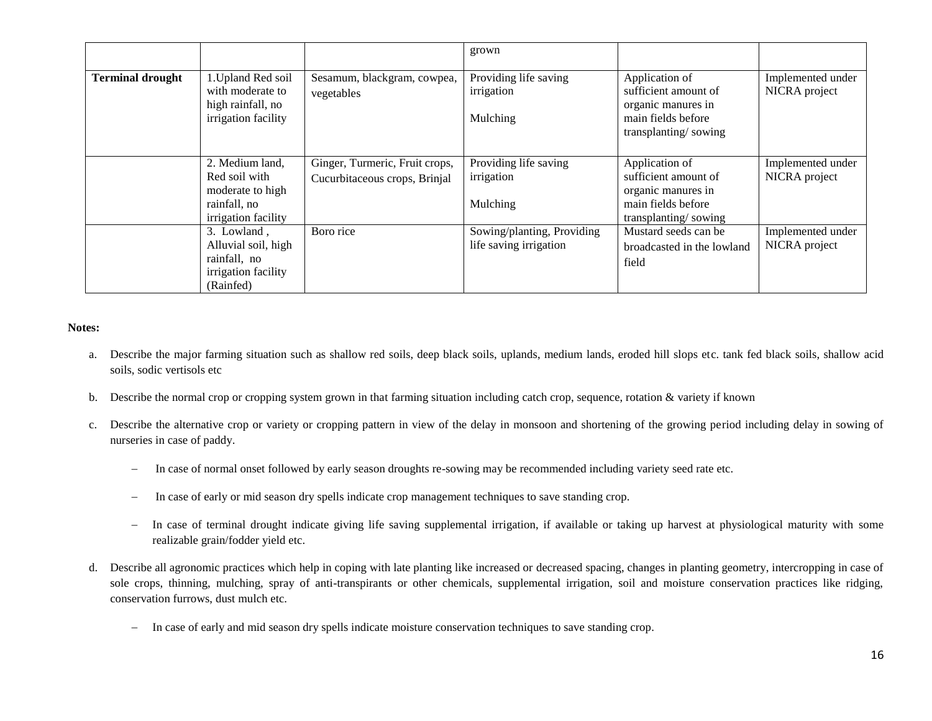|                         |                                                                                             |                                                                 | grown                                                |                                                                                                            |                                    |
|-------------------------|---------------------------------------------------------------------------------------------|-----------------------------------------------------------------|------------------------------------------------------|------------------------------------------------------------------------------------------------------------|------------------------------------|
| <b>Terminal drought</b> | 1. Upland Red soil<br>with moderate to<br>high rainfall, no<br>irrigation facility          | Sesamum, blackgram, cowpea,<br>vegetables                       | Providing life saving<br>irrigation<br>Mulching      | Application of<br>sufficient amount of<br>organic manures in<br>main fields before<br>transplanting/sowing | Implemented under<br>NICRA project |
|                         | 2. Medium land,<br>Red soil with<br>moderate to high<br>rainfall, no<br>irrigation facility | Ginger, Turmeric, Fruit crops,<br>Cucurbitaceous crops, Brinjal | Providing life saving<br>irrigation<br>Mulching      | Application of<br>sufficient amount of<br>organic manures in<br>main fields before<br>transplanting/sowing | Implemented under<br>NICRA project |
|                         | 3. Lowland,<br>Alluvial soil, high<br>rainfall, no<br>irrigation facility<br>(Rainfed)      | Boro rice                                                       | Sowing/planting, Providing<br>life saving irrigation | Mustard seeds can be<br>broadcasted in the lowland<br>field                                                | Implemented under<br>NICRA project |

#### **Notes:**

- a. Describe the major farming situation such as shallow red soils, deep black soils, uplands, medium lands, eroded hill slops etc. tank fed black soils, shallow acid soils, sodic vertisols etc
- b. Describe the normal crop or cropping system grown in that farming situation including catch crop, sequence, rotation & variety if known
- c. Describe the alternative crop or variety or cropping pattern in view of the delay in monsoon and shortening of the growing period including delay in sowing of nurseries in case of paddy.
	- In case of normal onset followed by early season droughts re-sowing may be recommended including variety seed rate etc.
	- In case of early or mid season dry spells indicate crop management techniques to save standing crop.
	- In case of terminal drought indicate giving life saving supplemental irrigation, if available or taking up harvest at physiological maturity with some realizable grain/fodder yield etc.
- d. Describe all agronomic practices which help in coping with late planting like increased or decreased spacing, changes in planting geometry, intercropping in case of sole crops, thinning, mulching, spray of anti-transpirants or other chemicals, supplemental irrigation, soil and moisture conservation practices like ridging, conservation furrows, dust mulch etc.
	- In case of early and mid season dry spells indicate moisture conservation techniques to save standing crop.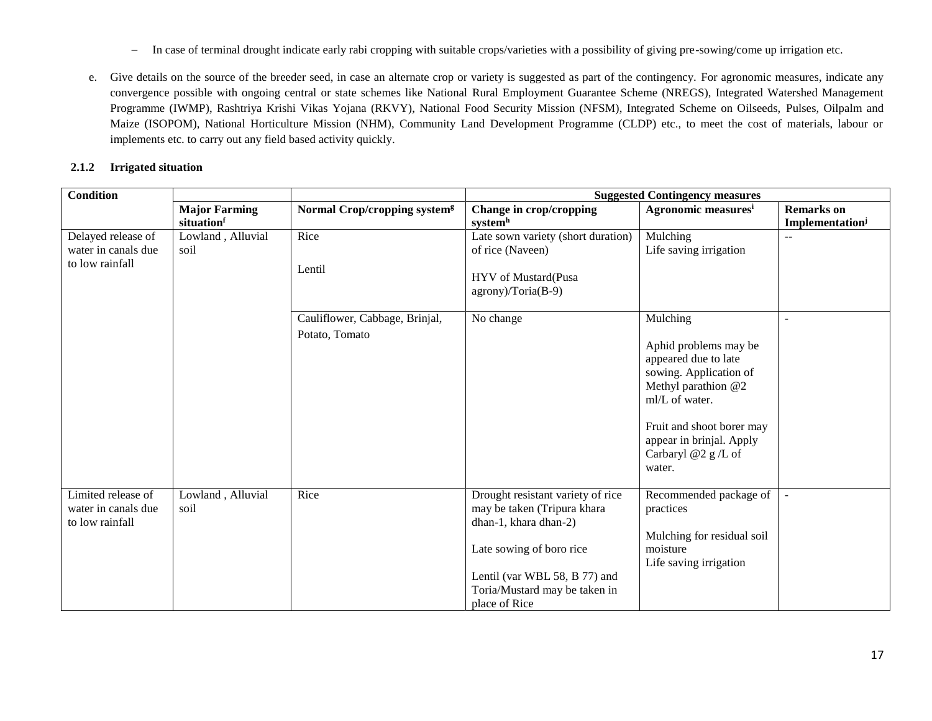- In case of terminal drought indicate early rabi cropping with suitable crops/varieties with a possibility of giving pre-sowing/come up irrigation etc.
- e. Give details on the source of the breeder seed, in case an alternate crop or variety is suggested as part of the contingency. For agronomic measures, indicate any convergence possible with ongoing central or state schemes like National Rural Employment Guarantee Scheme (NREGS), Integrated Watershed Management Programme (IWMP), Rashtriya Krishi Vikas Yojana (RKVY), National Food Security Mission (NFSM), Integrated Scheme on Oilseeds, Pulses, Oilpalm and Maize (ISOPOM), National Horticulture Mission (NHM), Community Land Development Programme (CLDP) etc., to meet the cost of materials, labour or implements etc. to carry out any field based activity quickly.

#### **2.1.2 Irrigated situation**

| <b>Condition</b>            |                      |                                          | <b>Suggested Contingency measures</b>                          |                                                       |                             |
|-----------------------------|----------------------|------------------------------------------|----------------------------------------------------------------|-------------------------------------------------------|-----------------------------|
|                             | <b>Major Farming</b> | Normal Crop/cropping system <sup>g</sup> | Change in crop/cropping                                        | Agronomic measures <sup>i</sup>                       | <b>Remarks</b> on           |
|                             | situationf           |                                          | systemh                                                        |                                                       | Implementation <sup>j</sup> |
| Delayed release of          | Lowland, Alluvial    | Rice                                     | Late sown variety (short duration)                             | Mulching                                              | --                          |
| water in canals due<br>soil |                      |                                          | of rice (Naveen)                                               | Life saving irrigation                                |                             |
| to low rainfall             |                      | Lentil                                   |                                                                |                                                       |                             |
|                             |                      |                                          | HYV of Mustard(Pusa                                            |                                                       |                             |
|                             |                      |                                          | agrony)/Toria(B-9)                                             |                                                       |                             |
|                             |                      | Cauliflower, Cabbage, Brinjal,           | No change                                                      | Mulching                                              |                             |
|                             |                      | Potato, Tomato                           |                                                                |                                                       |                             |
|                             |                      |                                          |                                                                | Aphid problems may be                                 |                             |
|                             |                      |                                          |                                                                | appeared due to late                                  |                             |
|                             |                      |                                          |                                                                | sowing. Application of                                |                             |
|                             |                      |                                          |                                                                | Methyl parathion @2                                   |                             |
|                             |                      |                                          |                                                                | ml/L of water.                                        |                             |
|                             |                      |                                          |                                                                |                                                       |                             |
|                             |                      |                                          |                                                                | Fruit and shoot borer may<br>appear in brinjal. Apply |                             |
|                             |                      |                                          |                                                                | Carbaryl @2 g/L of                                    |                             |
|                             |                      |                                          |                                                                | water.                                                |                             |
|                             |                      |                                          |                                                                |                                                       |                             |
| Limited release of          | Lowland, Alluvial    | Rice                                     | Drought resistant variety of rice                              | Recommended package of                                |                             |
| water in canals due<br>soil |                      |                                          | may be taken (Tripura khara                                    | practices                                             |                             |
| to low rainfall             |                      |                                          | dhan-1, khara dhan-2)                                          |                                                       |                             |
|                             |                      |                                          |                                                                | Mulching for residual soil                            |                             |
|                             |                      |                                          | Late sowing of boro rice                                       | moisture                                              |                             |
|                             |                      |                                          |                                                                | Life saving irrigation                                |                             |
|                             |                      |                                          | Lentil (var WBL 58, B 77) and<br>Toria/Mustard may be taken in |                                                       |                             |
|                             |                      |                                          | place of Rice                                                  |                                                       |                             |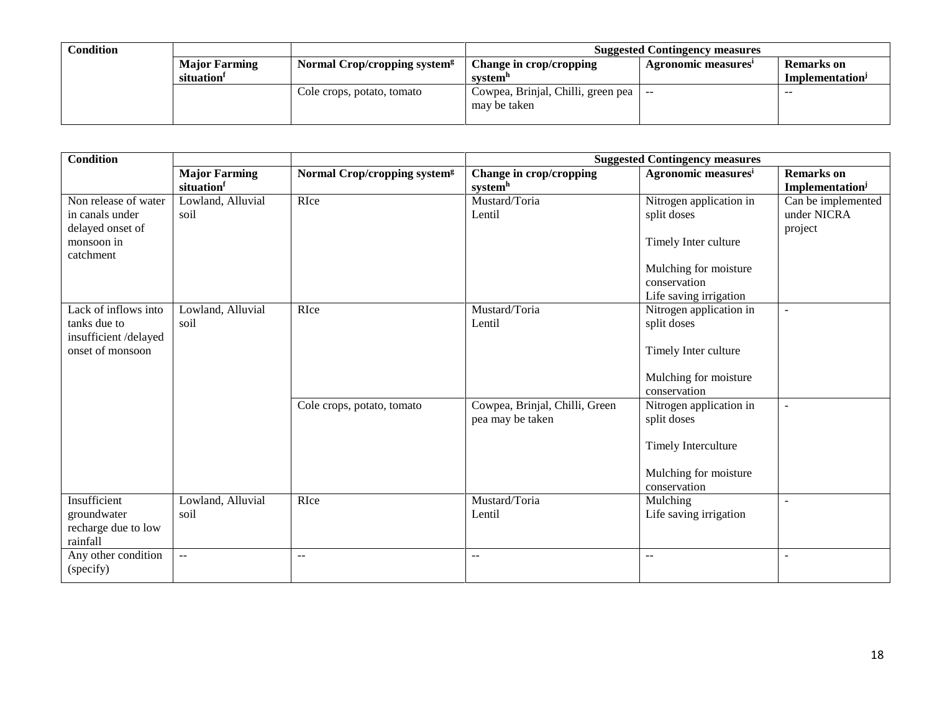| Condition |                      |                                          |                                    | <b>Suggested Contingency measures</b> |                             |
|-----------|----------------------|------------------------------------------|------------------------------------|---------------------------------------|-----------------------------|
|           | <b>Major Farming</b> | Normal Crop/cropping system <sup>g</sup> | Change in crop/cropping            | Agronomic measures                    | <b>Remarks</b> on           |
|           | situation            |                                          | system"                            |                                       | Implementation <sup>J</sup> |
|           |                      | Cole crops, potato, tomato               | Cowpea, Brinjal, Chilli, green pea | $- -$                                 | $- -$                       |
|           |                      |                                          | may be taken                       |                                       |                             |
|           |                      |                                          |                                    |                                       |                             |

| <b>Condition</b>     |                      |                                          |                                               | <b>Suggested Contingency measures</b> |                    |
|----------------------|----------------------|------------------------------------------|-----------------------------------------------|---------------------------------------|--------------------|
|                      | <b>Major Farming</b> | Normal Crop/cropping system <sup>g</sup> | Change in crop/cropping                       | Agronomic measures <sup>i</sup>       | <b>Remarks</b> on  |
|                      | situationf           |                                          | systemh                                       |                                       | Implementationi    |
| Non release of water | Lowland, Alluvial    | RIce                                     | Mustard/Toria                                 | Nitrogen application in               | Can be implemented |
| in canals under      | soil                 |                                          | Lentil                                        | split doses                           | under NICRA        |
| delayed onset of     |                      |                                          |                                               |                                       | project            |
| monsoon in           |                      |                                          |                                               | Timely Inter culture                  |                    |
| catchment            |                      |                                          |                                               |                                       |                    |
|                      |                      |                                          |                                               | Mulching for moisture                 |                    |
|                      |                      |                                          |                                               | conservation                          |                    |
|                      |                      |                                          |                                               | Life saving irrigation                |                    |
| Lack of inflows into | Lowland, Alluvial    | RIce                                     | Mustard/Toria                                 | Nitrogen application in               | $\sim$             |
| tanks due to         | soil                 |                                          | Lentil                                        | split doses                           |                    |
| insufficient/delayed |                      |                                          |                                               |                                       |                    |
| onset of monsoon     |                      |                                          |                                               | Timely Inter culture                  |                    |
|                      |                      |                                          |                                               |                                       |                    |
|                      |                      |                                          |                                               | Mulching for moisture                 |                    |
|                      |                      |                                          |                                               | conservation                          |                    |
|                      |                      | Cole crops, potato, tomato               | Cowpea, Brinjal, Chilli, Green                | Nitrogen application in               | $\blacksquare$     |
|                      |                      |                                          | pea may be taken                              | split doses                           |                    |
|                      |                      |                                          |                                               |                                       |                    |
|                      |                      |                                          |                                               | Timely Interculture                   |                    |
|                      |                      |                                          |                                               | Mulching for moisture                 |                    |
|                      |                      |                                          |                                               | conservation                          |                    |
| Insufficient         | Lowland, Alluvial    | RIce                                     | Mustard/Toria                                 | Mulching                              |                    |
| groundwater          | soil                 |                                          | Lentil                                        | Life saving irrigation                |                    |
| recharge due to low  |                      |                                          |                                               |                                       |                    |
| rainfall             |                      |                                          |                                               |                                       |                    |
| Any other condition  | $\overline{a}$       | $\sim$ $\sim$                            | $\mathord{\hspace{1pt}\text{--}\hspace{1pt}}$ | $\overline{\phantom{m}}$              | $\sim$             |
| (specify)            |                      |                                          |                                               |                                       |                    |
|                      |                      |                                          |                                               |                                       |                    |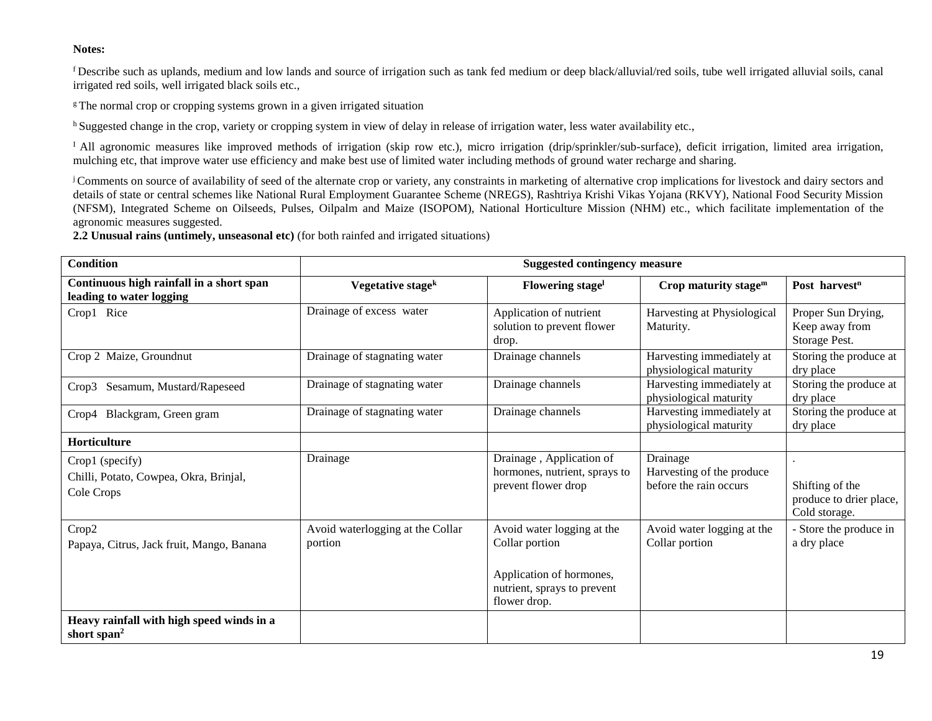#### **Notes:**

<sup>f</sup>Describe such as uplands, medium and low lands and source of irrigation such as tank fed medium or deep black/alluvial/red soils, tube well irrigated alluvial soils, canal irrigated red soils, well irrigated black soils etc.,

 $\epsilon$ The normal crop or cropping systems grown in a given irrigated situation

<sup>h</sup> Suggested change in the crop, variety or cropping system in view of delay in release of irrigation water, less water availability etc.,

<sup>I</sup> All agronomic measures like improved methods of irrigation (skip row etc.), micro irrigation (drip/sprinkler/sub-surface), deficit irrigation, limited area irrigation, mulching etc, that improve water use efficiency and make best use of limited water including methods of ground water recharge and sharing.

<sup>j</sup> Comments on source of availability of seed of the alternate crop or variety, any constraints in marketing of alternative crop implications for livestock and dairy sectors and details of state or central schemes like National Rural Employment Guarantee Scheme (NREGS), Rashtriya Krishi Vikas Yojana (RKVY), National Food Security Mission (NFSM), Integrated Scheme on Oilseeds, Pulses, Oilpalm and Maize (ISOPOM), National Horticulture Mission (NHM) etc., which facilitate implementation of the agronomic measures suggested.

**2.2 Unusual rains (untimely, unseasonal etc)** (for both rainfed and irrigated situations)

| <b>Condition</b>                                                        | <b>Suggested contingency measure</b>        |                                                                                                                         |                                                                 |                                                             |
|-------------------------------------------------------------------------|---------------------------------------------|-------------------------------------------------------------------------------------------------------------------------|-----------------------------------------------------------------|-------------------------------------------------------------|
| Continuous high rainfall in a short span<br>leading to water logging    | Vegetative stage <sup>k</sup>               | <b>Flowering stagel</b>                                                                                                 | Crop maturity stage $m$                                         | Post harvest <sup>n</sup>                                   |
| Crop1 Rice                                                              | Drainage of excess water                    | Application of nutrient<br>solution to prevent flower<br>drop.                                                          | Harvesting at Physiological<br>Maturity.                        | Proper Sun Drying,<br>Keep away from<br>Storage Pest.       |
| Crop 2 Maize, Groundnut                                                 | Drainage of stagnating water                | Drainage channels                                                                                                       | Harvesting immediately at<br>physiological maturity             | Storing the produce at<br>dry place                         |
| Crop3 Sesamum, Mustard/Rapeseed                                         | Drainage of stagnating water                | Drainage channels                                                                                                       | Harvesting immediately at<br>physiological maturity             | Storing the produce at<br>dry place                         |
| Crop4 Blackgram, Green gram                                             | Drainage of stagnating water                | Drainage channels                                                                                                       | Harvesting immediately at<br>physiological maturity             | Storing the produce at<br>dry place                         |
| Horticulture                                                            |                                             |                                                                                                                         |                                                                 |                                                             |
| Crop1 (specify)<br>Chilli, Potato, Cowpea, Okra, Brinjal,<br>Cole Crops | Drainage                                    | Drainage, Application of<br>hormones, nutrient, sprays to<br>prevent flower drop                                        | Drainage<br>Harvesting of the produce<br>before the rain occurs | Shifting of the<br>produce to drier place,<br>Cold storage. |
| Crop2<br>Papaya, Citrus, Jack fruit, Mango, Banana                      | Avoid waterlogging at the Collar<br>portion | Avoid water logging at the<br>Collar portion<br>Application of hormones,<br>nutrient, sprays to prevent<br>flower drop. | Avoid water logging at the<br>Collar portion                    | - Store the produce in<br>a dry place                       |
| Heavy rainfall with high speed winds in a<br>short span <sup>2</sup>    |                                             |                                                                                                                         |                                                                 |                                                             |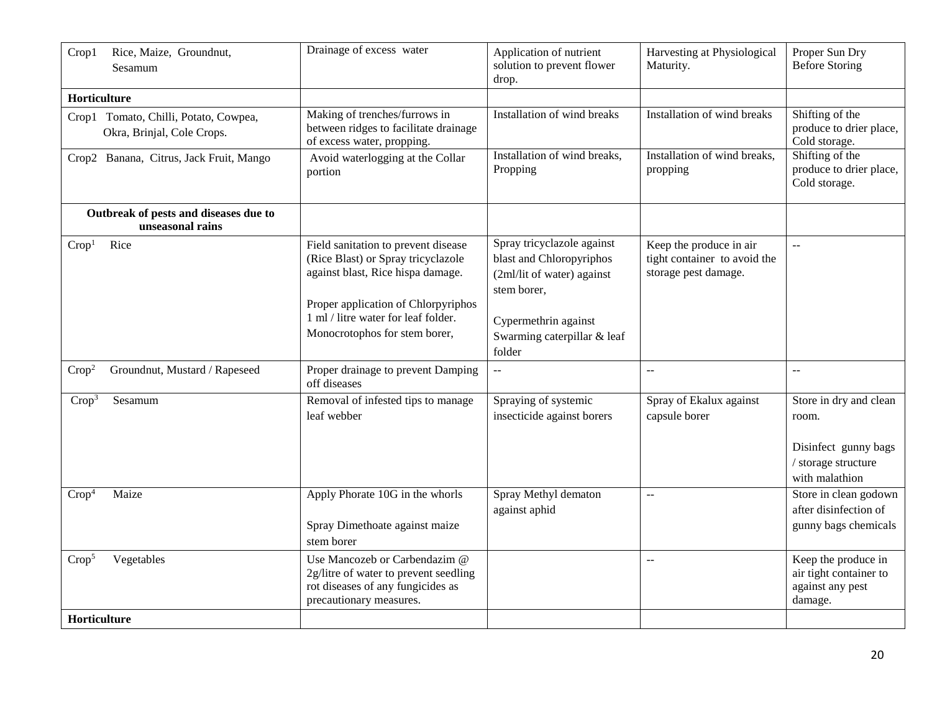| Crop1             | Rice, Maize, Groundnut,<br>Sesamum                                  | Drainage of excess water                                                                                                                                                                                                      | Application of nutrient<br>solution to prevent flower<br>drop.                                                                                                       | Harvesting at Physiological<br>Maturity.                                        | Proper Sun Dry<br><b>Before Storing</b>                                                          |
|-------------------|---------------------------------------------------------------------|-------------------------------------------------------------------------------------------------------------------------------------------------------------------------------------------------------------------------------|----------------------------------------------------------------------------------------------------------------------------------------------------------------------|---------------------------------------------------------------------------------|--------------------------------------------------------------------------------------------------|
| Horticulture      |                                                                     |                                                                                                                                                                                                                               |                                                                                                                                                                      |                                                                                 |                                                                                                  |
|                   | Crop1 Tomato, Chilli, Potato, Cowpea,<br>Okra, Brinjal, Cole Crops. | Making of trenches/furrows in<br>between ridges to facilitate drainage<br>of excess water, propping.                                                                                                                          | Installation of wind breaks                                                                                                                                          | Installation of wind breaks                                                     | Shifting of the<br>produce to drier place,<br>Cold storage.                                      |
|                   | Crop2 Banana, Citrus, Jack Fruit, Mango                             | Avoid waterlogging at the Collar<br>portion                                                                                                                                                                                   | Installation of wind breaks,<br>Propping                                                                                                                             | Installation of wind breaks,<br>propping                                        | Shifting of the<br>produce to drier place,<br>Cold storage.                                      |
|                   | Outbreak of pests and diseases due to<br>unseasonal rains           |                                                                                                                                                                                                                               |                                                                                                                                                                      |                                                                                 |                                                                                                  |
| Crop <sup>1</sup> | Rice                                                                | Field sanitation to prevent disease<br>(Rice Blast) or Spray tricyclazole<br>against blast, Rice hispa damage.<br>Proper application of Chlorpyriphos<br>1 ml / litre water for leaf folder.<br>Monocrotophos for stem borer, | Spray tricyclazole against<br>blast and Chloropyriphos<br>(2ml/lit of water) against<br>stem borer.<br>Cypermethrin against<br>Swarming caterpillar & leaf<br>folder | Keep the produce in air<br>tight container to avoid the<br>storage pest damage. | $\rightarrow$                                                                                    |
| Crop <sup>2</sup> | Groundnut, Mustard / Rapeseed                                       | Proper drainage to prevent Damping<br>off diseases                                                                                                                                                                            | --                                                                                                                                                                   | --                                                                              | $\mathord{\hspace{1pt}\text{--}\hspace{1pt}}$                                                    |
| Crop <sup>3</sup> | Sesamum                                                             | Removal of infested tips to manage<br>leaf webber                                                                                                                                                                             | Spraying of systemic<br>insecticide against borers                                                                                                                   | Spray of Ekalux against<br>capsule borer                                        | Store in dry and clean<br>room.<br>Disinfect gunny bags<br>/ storage structure<br>with malathion |
| Crop <sup>4</sup> | Maize                                                               | Apply Phorate 10G in the whorls<br>Spray Dimethoate against maize<br>stem borer                                                                                                                                               | Spray Methyl dematon<br>against aphid                                                                                                                                | $-$                                                                             | Store in clean godown<br>after disinfection of<br>gunny bags chemicals                           |
| Crop <sup>5</sup> | Vegetables                                                          | Use Mancozeb or Carbendazim @<br>2g/litre of water to prevent seedling<br>rot diseases of any fungicides as<br>precautionary measures.                                                                                        |                                                                                                                                                                      | $-$                                                                             | Keep the produce in<br>air tight container to<br>against any pest<br>damage.                     |
| Horticulture      |                                                                     |                                                                                                                                                                                                                               |                                                                                                                                                                      |                                                                                 |                                                                                                  |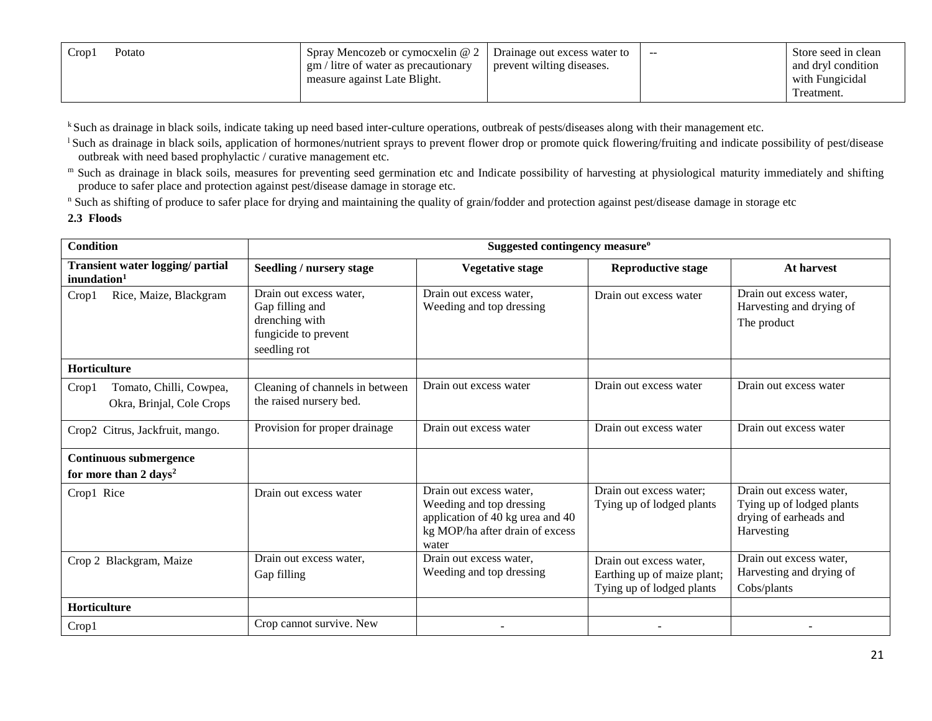| $C_{\text{ropl}}$ | Potato | Spray Mencozeb or cymocxelin @ 2<br>gm / litre of water as precautionary<br>measure against Late Blight. | Drainage out excess water to<br>prevent wilting diseases. | $- -$ | Store seed in clean<br>and dryl condition<br>with Fungicidal<br>Treatment. |
|-------------------|--------|----------------------------------------------------------------------------------------------------------|-----------------------------------------------------------|-------|----------------------------------------------------------------------------|
|-------------------|--------|----------------------------------------------------------------------------------------------------------|-----------------------------------------------------------|-------|----------------------------------------------------------------------------|

k Such as drainage in black soils, indicate taking up need based inter-culture operations, outbreak of pests/diseases along with their management etc.

<sup>1</sup> Such as drainage in black soils, application of hormones/nutrient sprays to prevent flower drop or promote quick flowering/fruiting and indicate possibility of pest/disease outbreak with need based prophylactic / curative management etc.

m Such as drainage in black soils, measures for preventing seed germination etc and Indicate possibility of harvesting at physiological maturity immediately and shifting produce to safer place and protection against pest/disease damage in storage etc.

<sup>n</sup> Such as shifting of produce to safer place for drying and maintaining the quality of grain/fodder and protection against pest/disease damage in storage etc

#### **2.3 Floods**

| <b>Condition</b>                                              | Suggested contingency measure <sup>o</sup>                                                           |                                                                                                                                     |                                                                                     |                                                                                              |  |  |  |
|---------------------------------------------------------------|------------------------------------------------------------------------------------------------------|-------------------------------------------------------------------------------------------------------------------------------------|-------------------------------------------------------------------------------------|----------------------------------------------------------------------------------------------|--|--|--|
| Transient water logging/ partial<br>inundation <sup>1</sup>   | Seedling / nursery stage                                                                             | <b>Vegetative stage</b>                                                                                                             | <b>Reproductive stage</b>                                                           | At harvest                                                                                   |  |  |  |
| Rice, Maize, Blackgram<br>Crop1                               | Drain out excess water,<br>Gap filling and<br>drenching with<br>fungicide to prevent<br>seedling rot | Drain out excess water,<br>Weeding and top dressing                                                                                 | Drain out excess water                                                              | Drain out excess water,<br>Harvesting and drying of<br>The product                           |  |  |  |
| Horticulture                                                  |                                                                                                      |                                                                                                                                     |                                                                                     |                                                                                              |  |  |  |
| Tomato, Chilli, Cowpea,<br>Crop1<br>Okra, Brinjal, Cole Crops | Cleaning of channels in between<br>the raised nursery bed.                                           | Drain out excess water                                                                                                              | Drain out excess water                                                              | Drain out excess water                                                                       |  |  |  |
| Crop2 Citrus, Jackfruit, mango.                               | Provision for proper drainage                                                                        | Drain out excess water                                                                                                              | Drain out excess water                                                              | Drain out excess water                                                                       |  |  |  |
| <b>Continuous submergence</b>                                 |                                                                                                      |                                                                                                                                     |                                                                                     |                                                                                              |  |  |  |
| for more than 2 days <sup>2</sup>                             |                                                                                                      |                                                                                                                                     |                                                                                     |                                                                                              |  |  |  |
| Crop1 Rice                                                    | Drain out excess water                                                                               | Drain out excess water,<br>Weeding and top dressing<br>application of 40 kg urea and 40<br>kg MOP/ha after drain of excess<br>water | Drain out excess water;<br>Tying up of lodged plants                                | Drain out excess water,<br>Tying up of lodged plants<br>drying of earheads and<br>Harvesting |  |  |  |
| Crop 2 Blackgram, Maize                                       | Drain out excess water.<br>Gap filling                                                               | Drain out excess water.<br>Weeding and top dressing                                                                                 | Drain out excess water.<br>Earthing up of maize plant;<br>Tying up of lodged plants | Drain out excess water,<br>Harvesting and drying of<br>Cobs/plants                           |  |  |  |
| Horticulture                                                  |                                                                                                      |                                                                                                                                     |                                                                                     |                                                                                              |  |  |  |
| Crop1                                                         | Crop cannot survive. New                                                                             |                                                                                                                                     |                                                                                     |                                                                                              |  |  |  |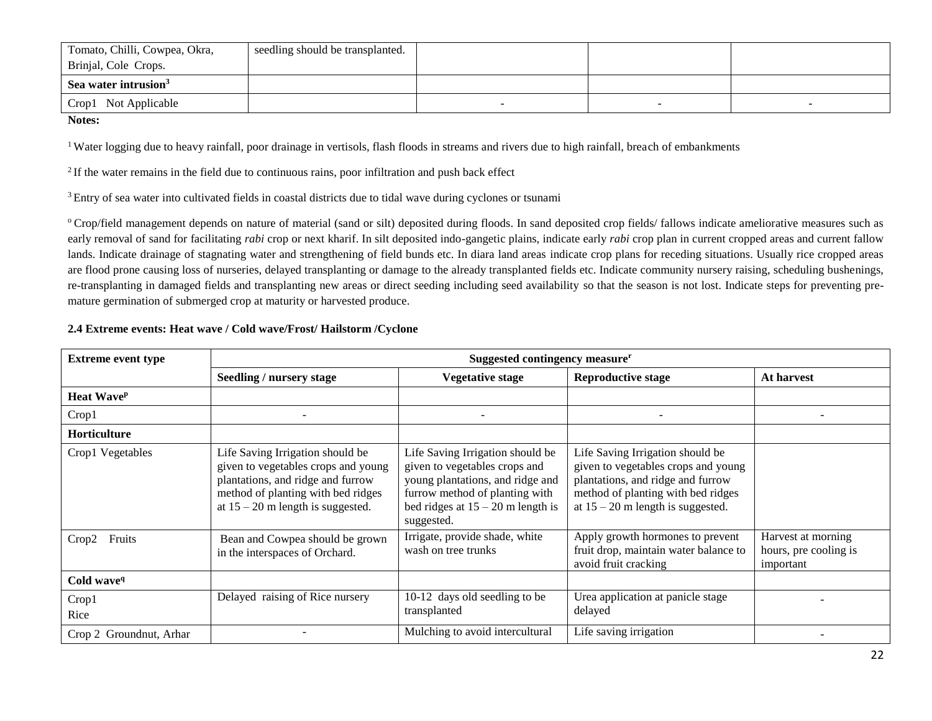| Tomato, Chilli, Cowpea, Okra,    | seedling should be transplanted. |  |  |
|----------------------------------|----------------------------------|--|--|
| Brinjal, Cole Crops.             |                                  |  |  |
| Sea water intrusion <sup>3</sup> |                                  |  |  |
| Crop1 Not Applicable             |                                  |  |  |

**Notes:** 

<sup>1</sup> Water logging due to heavy rainfall, poor drainage in vertisols, flash floods in streams and rivers due to high rainfall, breach of embankments

 $<sup>2</sup>$  If the water remains in the field due to continuous rains, poor infiltration and push back effect</sup>

<sup>3</sup> Entry of sea water into cultivated fields in coastal districts due to tidal wave during cyclones or tsunami

<sup>o</sup> Crop/field management depends on nature of material (sand or silt) deposited during floods. In sand deposited crop fields/ fallows indicate ameliorative measures such as early removal of sand for facilitating *rabi* crop or next kharif. In silt deposited indo-gangetic plains, indicate early *rabi* crop plan in current cropped areas and current fallow lands. Indicate drainage of stagnating water and strengthening of field bunds etc. In diara land areas indicate crop plans for receding situations. Usually rice cropped areas are flood prone causing loss of nurseries, delayed transplanting or damage to the already transplanted fields etc. Indicate community nursery raising, scheduling bushenings, re-transplanting in damaged fields and transplanting new areas or direct seeding including seed availability so that the season is not lost. Indicate steps for preventing premature germination of submerged crop at maturity or harvested produce.

#### **2.4 Extreme events: Heat wave / Cold wave/Frost/ Hailstorm /Cyclone**

| <b>Extreme event type</b>     | Suggested contingency measure <sup>r</sup>                                                                                                                                                |                                                                                                                                                                                              |                                                                                                                                                                                           |                                                          |  |
|-------------------------------|-------------------------------------------------------------------------------------------------------------------------------------------------------------------------------------------|----------------------------------------------------------------------------------------------------------------------------------------------------------------------------------------------|-------------------------------------------------------------------------------------------------------------------------------------------------------------------------------------------|----------------------------------------------------------|--|
|                               | Seedling / nursery stage                                                                                                                                                                  | <b>Vegetative stage</b>                                                                                                                                                                      | <b>Reproductive stage</b>                                                                                                                                                                 | At harvest                                               |  |
| <b>Heat Wave</b> <sup>p</sup> |                                                                                                                                                                                           |                                                                                                                                                                                              |                                                                                                                                                                                           |                                                          |  |
| Crop1                         |                                                                                                                                                                                           |                                                                                                                                                                                              |                                                                                                                                                                                           |                                                          |  |
| Horticulture                  |                                                                                                                                                                                           |                                                                                                                                                                                              |                                                                                                                                                                                           |                                                          |  |
| Crop1 Vegetables              | Life Saving Irrigation should be<br>given to vegetables crops and young<br>plantations, and ridge and furrow<br>method of planting with bed ridges<br>at $15 - 20$ m length is suggested. | Life Saving Irrigation should be<br>given to vegetables crops and<br>young plantations, and ridge and<br>furrow method of planting with<br>bed ridges at $15 - 20$ m length is<br>suggested. | Life Saving Irrigation should be<br>given to vegetables crops and young<br>plantations, and ridge and furrow<br>method of planting with bed ridges<br>at $15 - 20$ m length is suggested. |                                                          |  |
| Fruits<br>Crop2               | Bean and Cowpea should be grown<br>in the interspaces of Orchard.                                                                                                                         | Irrigate, provide shade, white<br>wash on tree trunks                                                                                                                                        | Apply growth hormones to prevent<br>fruit drop, maintain water balance to<br>avoid fruit cracking                                                                                         | Harvest at morning<br>hours, pre cooling is<br>important |  |
| Cold wave <sup>q</sup>        |                                                                                                                                                                                           |                                                                                                                                                                                              |                                                                                                                                                                                           |                                                          |  |
| Crop1                         | Delayed raising of Rice nursery                                                                                                                                                           | 10-12 days old seedling to be                                                                                                                                                                | Urea application at panicle stage                                                                                                                                                         |                                                          |  |
| Rice                          |                                                                                                                                                                                           | transplanted                                                                                                                                                                                 | delayed                                                                                                                                                                                   |                                                          |  |
| Crop 2 Groundnut, Arhar       |                                                                                                                                                                                           | Mulching to avoid intercultural                                                                                                                                                              | Life saving irrigation                                                                                                                                                                    |                                                          |  |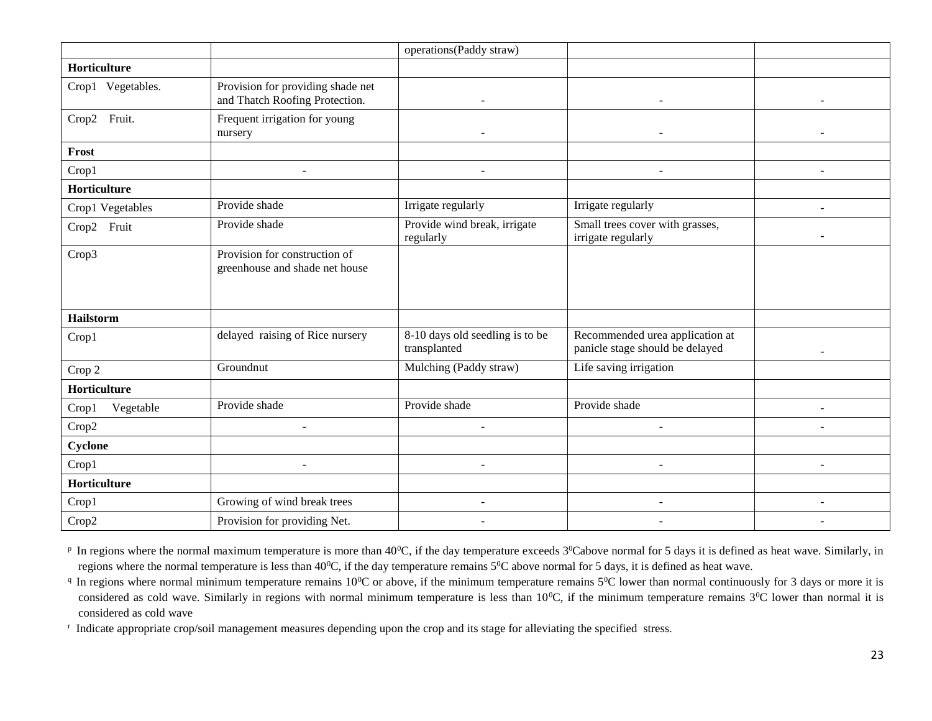|                    |                                                                     | operations(Paddy straw)                         |                                                                    |                |
|--------------------|---------------------------------------------------------------------|-------------------------------------------------|--------------------------------------------------------------------|----------------|
| Horticulture       |                                                                     |                                                 |                                                                    |                |
| Crop1 Vegetables.  | Provision for providing shade net<br>and Thatch Roofing Protection. |                                                 |                                                                    |                |
| Crop2 Fruit.       | Frequent irrigation for young<br>nursery                            |                                                 |                                                                    |                |
| Frost              |                                                                     |                                                 |                                                                    |                |
| Crop1              | $\sim$                                                              | $\sim$                                          |                                                                    |                |
| Horticulture       |                                                                     |                                                 |                                                                    |                |
| Crop1 Vegetables   | Provide shade                                                       | Irrigate regularly                              | Irrigate regularly                                                 | $\blacksquare$ |
| Fruit<br>Crop2     | Provide shade                                                       | Provide wind break, irrigate<br>regularly       | Small trees cover with grasses,<br>irrigate regularly              |                |
| Crop3              | Provision for construction of<br>greenhouse and shade net house     |                                                 |                                                                    |                |
| <b>Hailstorm</b>   |                                                                     |                                                 |                                                                    |                |
| Crop1              | delayed raising of Rice nursery                                     | 8-10 days old seedling is to be<br>transplanted | Recommended urea application at<br>panicle stage should be delayed |                |
| Crop 2             | Groundnut                                                           | Mulching (Paddy straw)                          | Life saving irrigation                                             |                |
| Horticulture       |                                                                     |                                                 |                                                                    |                |
| Vegetable<br>Crop1 | Provide shade                                                       | Provide shade                                   | Provide shade                                                      |                |
| Crop2              |                                                                     |                                                 |                                                                    |                |
| Cyclone            |                                                                     |                                                 |                                                                    |                |
| Crop1              | ٠                                                                   | $\sim$                                          |                                                                    |                |
| Horticulture       |                                                                     |                                                 |                                                                    |                |
| Crop1              | Growing of wind break trees                                         | $\blacksquare$                                  | $\overline{\phantom{a}}$                                           | $\sim$         |
| Crop2              | Provision for providing Net.                                        | $\blacksquare$                                  |                                                                    |                |

 $P$  In regions where the normal maximum temperature is more than 40<sup>0</sup>C, if the day temperature exceeds  $3^0$ Cabove normal for 5 days it is defined as heat wave. Similarly, in regions where the normal temperature is less than 40<sup>0</sup>C, if the day temperature remains  $5^{\circ}$ C above normal for 5 days, it is defined as heat wave.

 $q$  In regions where normal minimum temperature remains 10<sup>o</sup>C or above, if the minimum temperature remains 5<sup>o</sup>C lower than normal continuously for 3 days or more it is considered as cold wave. Similarly in regions with normal minimum temperature is less than  $10^{0}$ C, if the minimum temperature remains  $3^{0}$ C lower than normal it is considered as cold wave

r Indicate appropriate crop/soil management measures depending upon the crop and its stage for alleviating the specified stress.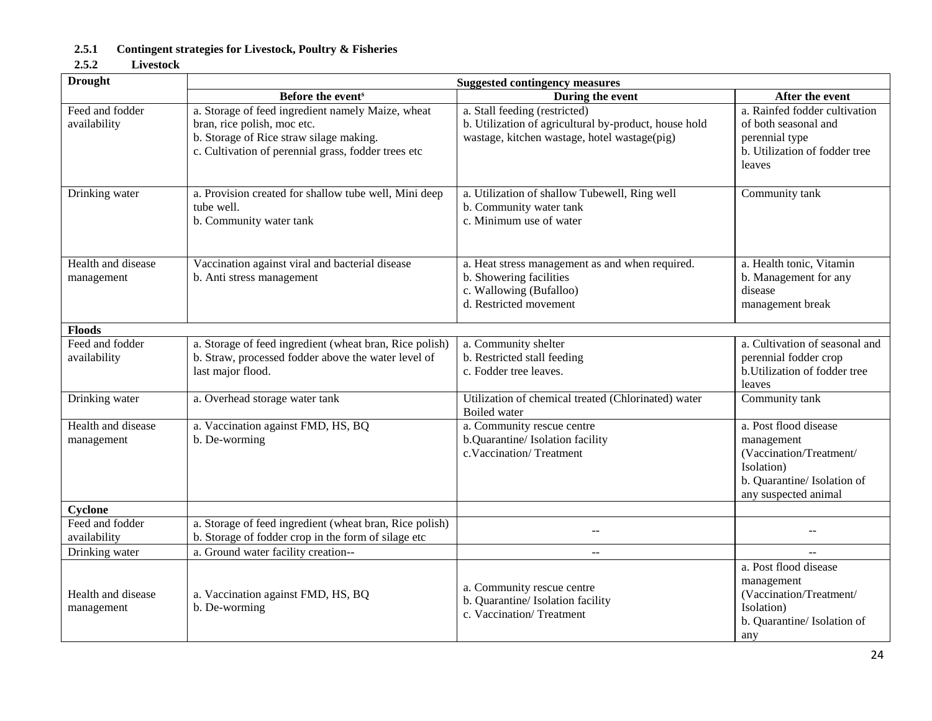## **2.5.1 Contingent strategies for Livestock, Poultry & Fisheries**

#### **2.5.2 Livestock**

| <b>Drought</b>                   | <b>Suggested contingency measures</b>                                                                                                                                              |                                                                                                                                        |                                                                                                                                     |  |
|----------------------------------|------------------------------------------------------------------------------------------------------------------------------------------------------------------------------------|----------------------------------------------------------------------------------------------------------------------------------------|-------------------------------------------------------------------------------------------------------------------------------------|--|
|                                  | Before the event <sup>s</sup>                                                                                                                                                      | During the event                                                                                                                       | After the event                                                                                                                     |  |
| Feed and fodder<br>availability  | a. Storage of feed ingredient namely Maize, wheat<br>bran, rice polish, moc etc.<br>b. Storage of Rice straw silage making.<br>c. Cultivation of perennial grass, fodder trees etc | a. Stall feeding (restricted)<br>b. Utilization of agricultural by-product, house hold<br>wastage, kitchen wastage, hotel wastage(pig) | a. Rainfed fodder cultivation<br>of both seasonal and<br>perennial type<br>b. Utilization of fodder tree<br>leaves                  |  |
| Drinking water                   | a. Provision created for shallow tube well, Mini deep<br>tube well.<br>b. Community water tank                                                                                     | a. Utilization of shallow Tubewell, Ring well<br>b. Community water tank<br>c. Minimum use of water                                    | Community tank                                                                                                                      |  |
| Health and disease<br>management | Vaccination against viral and bacterial disease<br>b. Anti stress management                                                                                                       | a. Heat stress management as and when required.<br>b. Showering facilities<br>c. Wallowing (Bufalloo)<br>d. Restricted movement        | a. Health tonic, Vitamin<br>b. Management for any<br>disease<br>management break                                                    |  |
| <b>Floods</b>                    |                                                                                                                                                                                    |                                                                                                                                        |                                                                                                                                     |  |
| Feed and fodder<br>availability  | a. Storage of feed ingredient (wheat bran, Rice polish)<br>b. Straw, processed fodder above the water level of<br>last major flood.                                                | a. Community shelter<br>b. Restricted stall feeding<br>c. Fodder tree leaves.                                                          | a. Cultivation of seasonal and<br>perennial fodder crop<br>b. Utilization of fodder tree<br>leaves                                  |  |
| Drinking water                   | a. Overhead storage water tank                                                                                                                                                     | Utilization of chemical treated (Chlorinated) water<br>Boiled water                                                                    | Community tank                                                                                                                      |  |
| Health and disease<br>management | a. Vaccination against FMD, HS, BQ<br>b. De-worming                                                                                                                                | a. Community rescue centre<br>b.Quarantine/Isolation facility<br>c.Vaccination/Treatment                                               | a. Post flood disease<br>management<br>(Vaccination/Treatment/<br>Isolation)<br>b. Quarantine/ Isolation of<br>any suspected animal |  |
| Cyclone                          |                                                                                                                                                                                    |                                                                                                                                        |                                                                                                                                     |  |
| Feed and fodder                  | a. Storage of feed ingredient (wheat bran, Rice polish)                                                                                                                            | $-$                                                                                                                                    |                                                                                                                                     |  |
| availability                     | b. Storage of fodder crop in the form of silage etc                                                                                                                                |                                                                                                                                        |                                                                                                                                     |  |
| Drinking water                   | a. Ground water facility creation--                                                                                                                                                | $\overline{a}$                                                                                                                         |                                                                                                                                     |  |
| Health and disease<br>management | a. Vaccination against FMD, HS, BQ<br>b. De-worming                                                                                                                                | a. Community rescue centre<br>b. Quarantine/ Isolation facility<br>c. Vaccination/Treatment                                            | a. Post flood disease<br>management<br>(Vaccination/Treatment/<br>Isolation)<br>b. Quarantine/Isolation of<br>any                   |  |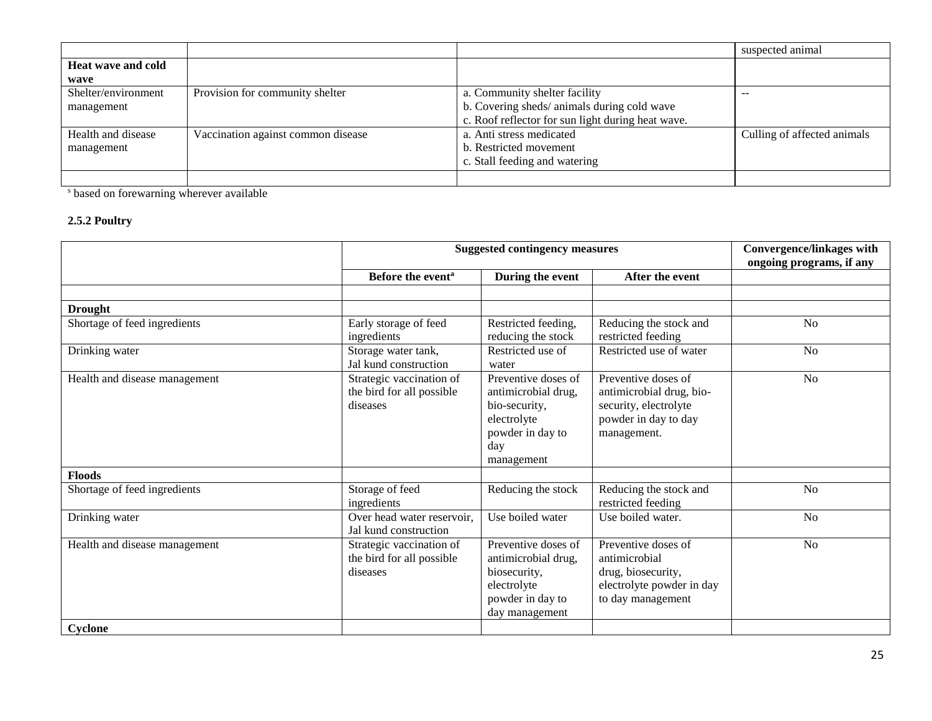|                           |                                    |                                                   | suspected animal            |
|---------------------------|------------------------------------|---------------------------------------------------|-----------------------------|
| <b>Heat wave and cold</b> |                                    |                                                   |                             |
| wave                      |                                    |                                                   |                             |
| Shelter/environment       | Provision for community shelter    | a. Community shelter facility                     | --                          |
| management                |                                    | b. Covering sheds/animals during cold wave        |                             |
|                           |                                    | c. Roof reflector for sun light during heat wave. |                             |
| Health and disease        | Vaccination against common disease | a. Anti stress medicated                          | Culling of affected animals |
| management                |                                    | b. Restricted movement                            |                             |
|                           |                                    | c. Stall feeding and watering                     |                             |
|                           |                                    |                                                   |                             |

<sup>s</sup> based on forewarning wherever available

## **2.5.2 Poultry**

|                               | <b>Suggested contingency measures</b>                             |                                                                                                                     |                                                                                                                 | <b>Convergence/linkages with</b><br>ongoing programs, if any |
|-------------------------------|-------------------------------------------------------------------|---------------------------------------------------------------------------------------------------------------------|-----------------------------------------------------------------------------------------------------------------|--------------------------------------------------------------|
|                               | Before the event <sup>a</sup>                                     | During the event                                                                                                    | After the event                                                                                                 |                                                              |
|                               |                                                                   |                                                                                                                     |                                                                                                                 |                                                              |
| <b>Drought</b>                |                                                                   |                                                                                                                     |                                                                                                                 |                                                              |
| Shortage of feed ingredients  | Early storage of feed<br>ingredients                              | Restricted feeding,<br>reducing the stock                                                                           | Reducing the stock and<br>restricted feeding                                                                    | N <sub>o</sub>                                               |
| Drinking water                | Storage water tank,<br>Jal kund construction                      | Restricted use of<br>water                                                                                          | Restricted use of water                                                                                         | N <sub>o</sub>                                               |
| Health and disease management | Strategic vaccination of<br>the bird for all possible<br>diseases | Preventive doses of<br>antimicrobial drug,<br>bio-security,<br>electrolyte<br>powder in day to<br>day<br>management | Preventive doses of<br>antimicrobial drug, bio-<br>security, electrolyte<br>powder in day to day<br>management. | N <sub>o</sub>                                               |
| <b>Floods</b>                 |                                                                   |                                                                                                                     |                                                                                                                 |                                                              |
| Shortage of feed ingredients  | Storage of feed<br>ingredients                                    | Reducing the stock                                                                                                  | Reducing the stock and<br>restricted feeding                                                                    | N <sub>o</sub>                                               |
| Drinking water                | Over head water reservoir,<br>Jal kund construction               | Use boiled water                                                                                                    | Use boiled water.                                                                                               | N <sub>o</sub>                                               |
| Health and disease management | Strategic vaccination of<br>the bird for all possible<br>diseases | Preventive doses of<br>antimicrobial drug,<br>biosecurity,<br>electrolyte<br>powder in day to<br>day management     | Preventive doses of<br>antimicrobial<br>drug, biosecurity,<br>electrolyte powder in day<br>to day management    | N <sub>o</sub>                                               |
| Cyclone                       |                                                                   |                                                                                                                     |                                                                                                                 |                                                              |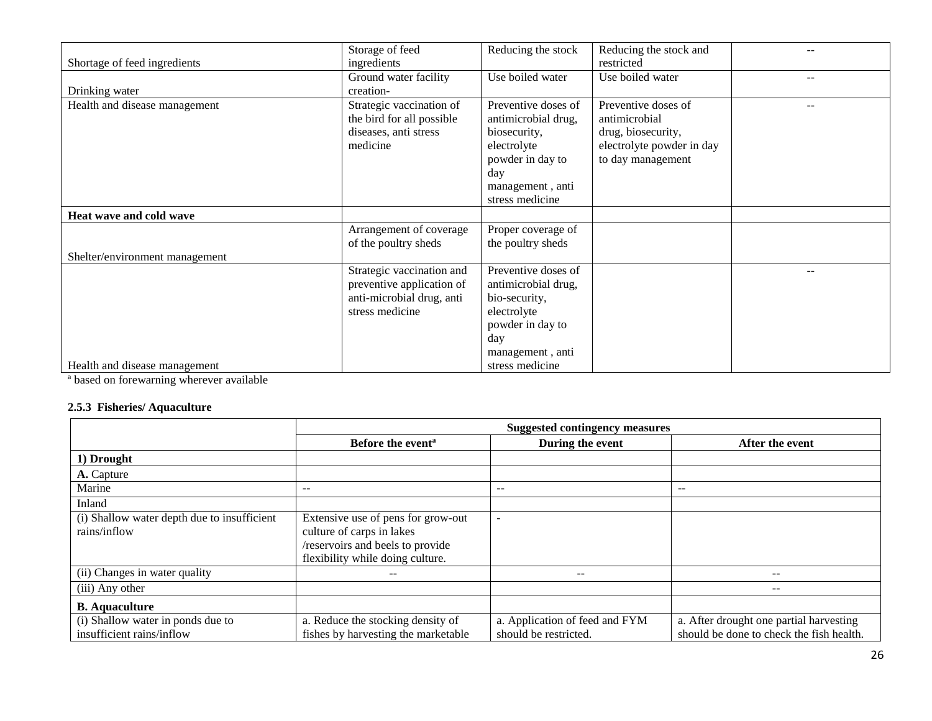|                                | Storage of feed           | Reducing the stock  | Reducing the stock and    |     |
|--------------------------------|---------------------------|---------------------|---------------------------|-----|
| Shortage of feed ingredients   | ingredients               |                     | restricted                |     |
|                                | Ground water facility     | Use boiled water    | Use boiled water          | $-$ |
| Drinking water                 | creation-                 |                     |                           |     |
| Health and disease management  | Strategic vaccination of  | Preventive doses of | Preventive doses of       | $-$ |
|                                | the bird for all possible | antimicrobial drug, | antimicrobial             |     |
|                                | diseases, anti stress     | biosecurity,        | drug, biosecurity,        |     |
|                                | medicine                  | electrolyte         | electrolyte powder in day |     |
|                                |                           | powder in day to    | to day management         |     |
|                                |                           | day                 |                           |     |
|                                |                           | management, anti    |                           |     |
|                                |                           | stress medicine     |                           |     |
| Heat wave and cold wave        |                           |                     |                           |     |
|                                | Arrangement of coverage   | Proper coverage of  |                           |     |
|                                | of the poultry sheds      | the poultry sheds   |                           |     |
| Shelter/environment management |                           |                     |                           |     |
|                                | Strategic vaccination and | Preventive doses of |                           | --  |
|                                | preventive application of | antimicrobial drug, |                           |     |
|                                | anti-microbial drug, anti | bio-security,       |                           |     |
|                                | stress medicine           | electrolyte         |                           |     |
|                                |                           | powder in day to    |                           |     |
|                                |                           | day                 |                           |     |
|                                |                           | management, anti    |                           |     |
| Health and disease management  |                           | stress medicine     |                           |     |

<sup>a</sup> based on forewarning wherever available

### **2.5.3 Fisheries/ Aquaculture**

|                                                                | <b>Suggested contingency measures</b>                                                                                                   |                                                         |                                                                                     |  |
|----------------------------------------------------------------|-----------------------------------------------------------------------------------------------------------------------------------------|---------------------------------------------------------|-------------------------------------------------------------------------------------|--|
|                                                                | Before the event <sup>a</sup>                                                                                                           | During the event                                        | After the event                                                                     |  |
| 1) Drought                                                     |                                                                                                                                         |                                                         |                                                                                     |  |
| A. Capture                                                     |                                                                                                                                         |                                                         |                                                                                     |  |
| Marine                                                         | $-$                                                                                                                                     | $- -$                                                   | $- -$                                                                               |  |
| Inland                                                         |                                                                                                                                         |                                                         |                                                                                     |  |
| (i) Shallow water depth due to insufficient<br>rains/inflow    | Extensive use of pens for grow-out<br>culture of carps in lakes<br>/reservoirs and beels to provide<br>flexibility while doing culture. |                                                         |                                                                                     |  |
| (ii) Changes in water quality                                  |                                                                                                                                         | --                                                      |                                                                                     |  |
| (iii) Any other                                                |                                                                                                                                         |                                                         | $- -$                                                                               |  |
| <b>B.</b> Aquaculture                                          |                                                                                                                                         |                                                         |                                                                                     |  |
| (i) Shallow water in ponds due to<br>insufficient rains/inflow | a. Reduce the stocking density of<br>fishes by harvesting the marketable                                                                | a. Application of feed and FYM<br>should be restricted. | a. After drought one partial harvesting<br>should be done to check the fish health. |  |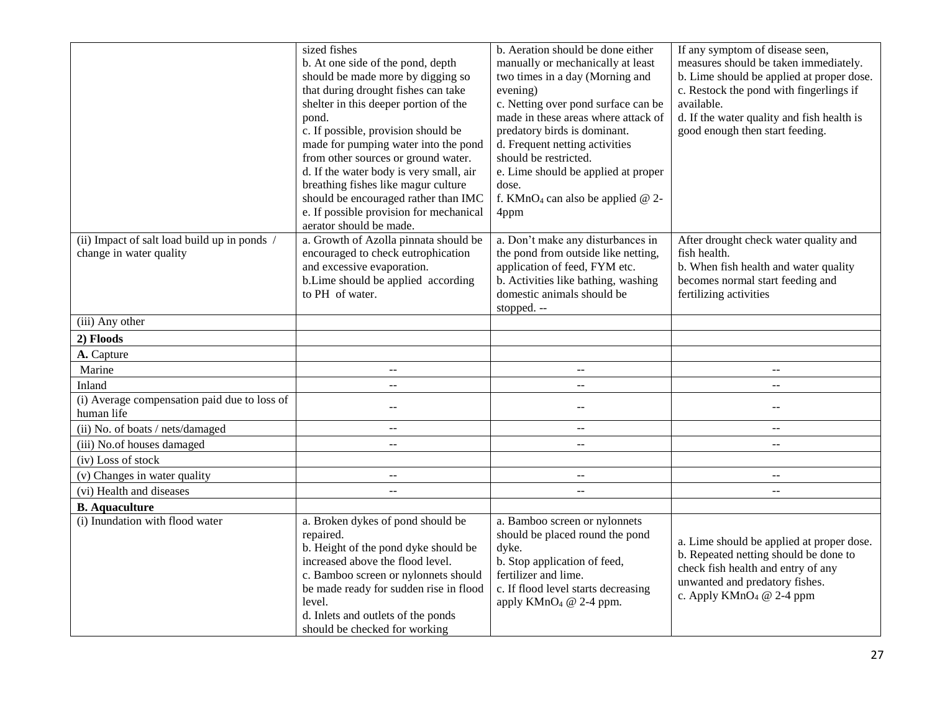|                                              | sized fishes                                  | b. Aeration should be done either               | If any symptom of disease seen,                                                    |
|----------------------------------------------|-----------------------------------------------|-------------------------------------------------|------------------------------------------------------------------------------------|
|                                              | b. At one side of the pond, depth             | manually or mechanically at least               | measures should be taken immediately.                                              |
|                                              | should be made more by digging so             | two times in a day (Morning and                 | b. Lime should be applied at proper dose.                                          |
|                                              | that during drought fishes can take           | evening)                                        | c. Restock the pond with fingerlings if                                            |
|                                              | shelter in this deeper portion of the         | c. Netting over pond surface can be             | available.                                                                         |
|                                              | pond.                                         | made in these areas where attack of             | d. If the water quality and fish health is                                         |
|                                              | c. If possible, provision should be           | predatory birds is dominant.                    | good enough then start feeding.                                                    |
|                                              | made for pumping water into the pond          | d. Frequent netting activities                  |                                                                                    |
|                                              | from other sources or ground water.           | should be restricted.                           |                                                                                    |
|                                              | d. If the water body is very small, air       | e. Lime should be applied at proper             |                                                                                    |
|                                              | breathing fishes like magur culture           | dose.                                           |                                                                                    |
|                                              | should be encouraged rather than IMC          | f. KMnO <sub>4</sub> can also be applied $@$ 2- |                                                                                    |
|                                              | e. If possible provision for mechanical       | 4ppm                                            |                                                                                    |
|                                              | aerator should be made.                       |                                                 |                                                                                    |
| (ii) Impact of salt load build up in ponds / | a. Growth of Azolla pinnata should be         | a. Don't make any disturbances in               | After drought check water quality and                                              |
| change in water quality                      | encouraged to check eutrophication            | the pond from outside like netting,             | fish health.                                                                       |
|                                              | and excessive evaporation.                    | application of feed, FYM etc.                   | b. When fish health and water quality                                              |
|                                              | b.Lime should be applied according            | b. Activities like bathing, washing             | becomes normal start feeding and                                                   |
|                                              | to PH of water.                               | domestic animals should be                      | fertilizing activities                                                             |
|                                              |                                               | stopped. --                                     |                                                                                    |
| (iii) Any other                              |                                               |                                                 |                                                                                    |
| 2) Floods                                    |                                               |                                                 |                                                                                    |
| A. Capture                                   |                                               |                                                 |                                                                                    |
| Marine                                       | $\mathbb{H} \to \mathbb{H}$                   | $\mathcal{L} \mathcal{L}$                       | $\overline{\phantom{a}}$                                                           |
| Inland                                       | $\mathord{\hspace{1pt}\text{--}\hspace{1pt}}$ | $\mathcal{L} \mathcal{L}$                       | $\overline{a}$                                                                     |
| (i) Average compensation paid due to loss of | $-$                                           | $\mathord{\hspace{1pt}\text{--}\hspace{1pt}}$   | $\mathord{\hspace{1pt}\text{--}\hspace{1pt}}$                                      |
| human life                                   |                                               |                                                 |                                                                                    |
| (ii) No. of boats / nets/damaged             | $\overline{\phantom{a}}$                      | --                                              | $\overline{\phantom{a}}$                                                           |
| (iii) No.of houses damaged                   | $\overline{a}$                                | $\overline{a}$                                  | $\mathbb{L}^{\mathbb{L}}$                                                          |
| (iv) Loss of stock                           |                                               |                                                 |                                                                                    |
| (v) Changes in water quality                 | $\mathbf{u}$                                  | $\mathbb{L} \mathbb{L}$                         | $\mathbf{u}$                                                                       |
| (vi) Health and diseases                     | $\overline{a}$                                | $\overline{a}$                                  | $\overline{a}$                                                                     |
| <b>B.</b> Aquaculture                        |                                               |                                                 |                                                                                    |
| (i) Inundation with flood water              | a. Broken dykes of pond should be             | a. Bamboo screen or nylonnets                   |                                                                                    |
|                                              | repaired.                                     | should be placed round the pond                 |                                                                                    |
|                                              | b. Height of the pond dyke should be          | dyke.                                           | a. Lime should be applied at proper dose.<br>b. Repeated netting should be done to |
|                                              | increased above the flood level.              | b. Stop application of feed,                    | check fish health and entry of any                                                 |
|                                              | c. Bamboo screen or nylonnets should          | fertilizer and lime.                            | unwanted and predatory fishes.                                                     |
|                                              | be made ready for sudden rise in flood        | c. If flood level starts decreasing             | c. Apply $KMnO4 @ 2-4 ppm$                                                         |
|                                              | level.                                        | apply $KMnO4 @ 2-4 ppm.$                        |                                                                                    |
|                                              | d. Inlets and outlets of the ponds            |                                                 |                                                                                    |
|                                              | should be checked for working                 |                                                 |                                                                                    |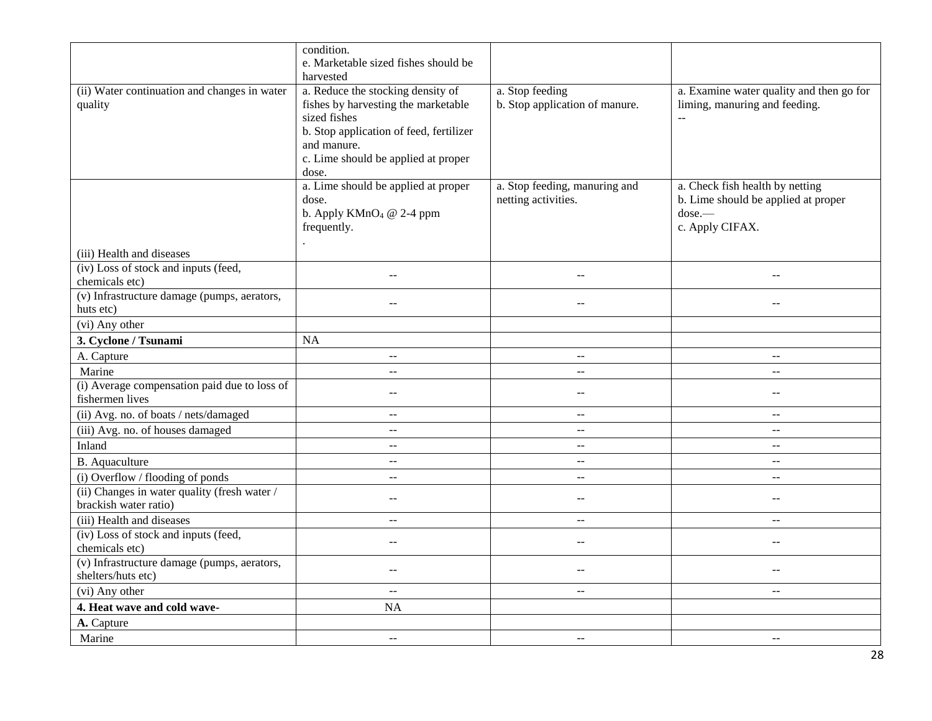|                                                                       | condition.<br>e. Marketable sized fishes should be                                                                                                                                                 |                                                      |                                                                                                        |
|-----------------------------------------------------------------------|----------------------------------------------------------------------------------------------------------------------------------------------------------------------------------------------------|------------------------------------------------------|--------------------------------------------------------------------------------------------------------|
|                                                                       | harvested                                                                                                                                                                                          |                                                      |                                                                                                        |
| (ii) Water continuation and changes in water<br>quality               | a. Reduce the stocking density of<br>fishes by harvesting the marketable<br>sized fishes<br>b. Stop application of feed, fertilizer<br>and manure.<br>c. Lime should be applied at proper<br>dose. | a. Stop feeding<br>b. Stop application of manure.    | a. Examine water quality and then go for<br>liming, manuring and feeding.<br>$\overline{a}$            |
|                                                                       | a. Lime should be applied at proper<br>dose.<br>b. Apply $KMnO4 @ 2-4 ppm$<br>frequently.                                                                                                          | a. Stop feeding, manuring and<br>netting activities. | a. Check fish health by netting<br>b. Lime should be applied at proper<br>$dose.$ —<br>c. Apply CIFAX. |
| (iii) Health and diseases                                             |                                                                                                                                                                                                    |                                                      |                                                                                                        |
| (iv) Loss of stock and inputs (feed,<br>chemicals etc)                | $\sim$                                                                                                                                                                                             | $\sim$                                               |                                                                                                        |
| (v) Infrastructure damage (pumps, aerators,<br>huts etc)              | $\sim$                                                                                                                                                                                             | $-$                                                  | $-$                                                                                                    |
| (vi) Any other                                                        |                                                                                                                                                                                                    |                                                      |                                                                                                        |
| 3. Cyclone / Tsunami                                                  | NA                                                                                                                                                                                                 |                                                      |                                                                                                        |
| A. Capture                                                            | $\sim$ $\sim$                                                                                                                                                                                      | $-$                                                  | $-$                                                                                                    |
| Marine                                                                | $\mathbb{L} \mathbb{L}$                                                                                                                                                                            | $\overline{a}$                                       | $\mathbf{u}$                                                                                           |
| (i) Average compensation paid due to loss of<br>fishermen lives       | $\sim$ $\sim$                                                                                                                                                                                      | $-$                                                  | $-$                                                                                                    |
| (ii) Avg. no. of boats / nets/damaged                                 | $\sim$ $-$                                                                                                                                                                                         | $\mathrel{{-}\mathrel{{-}}\mathrel{{-}}}$            | $\mathord{\hspace{1pt}\text{--}\hspace{1pt}}$                                                          |
| (iii) Avg. no. of houses damaged                                      | $\mathbf{u}$                                                                                                                                                                                       | $\sim$ $\sim$                                        | $\sim$ $\sim$                                                                                          |
| Inland                                                                | $\overline{a}$                                                                                                                                                                                     | $\sim$ $\sim$                                        | $\overline{a}$                                                                                         |
| <b>B.</b> Aquaculture                                                 | $\sim$ $\sim$                                                                                                                                                                                      | $-$                                                  | $\overline{\phantom{a}}$                                                                               |
| (i) Overflow / flooding of ponds                                      | $\sim$ $\sim$                                                                                                                                                                                      | $\mathbb{L}^{\mathbb{L}}$                            | $-$                                                                                                    |
| (ii) Changes in water quality (fresh water /<br>brackish water ratio) | $\sim$ $\sim$                                                                                                                                                                                      | $\sim$ $\sim$                                        | $\mathbf{u}$                                                                                           |
| (iii) Health and diseases                                             | $\sim$                                                                                                                                                                                             | $-$                                                  | $-$                                                                                                    |
| (iv) Loss of stock and inputs (feed,                                  | $\sim$                                                                                                                                                                                             | $\sim$                                               | $-$                                                                                                    |
| chemicals etc)                                                        |                                                                                                                                                                                                    |                                                      |                                                                                                        |
| (v) Infrastructure damage (pumps, aerators,<br>shelters/huts etc)     | $\sim$ $\sim$                                                                                                                                                                                      | $-$                                                  | $-$                                                                                                    |
| (vi) Any other                                                        | $\sim$ $\sim$                                                                                                                                                                                      | $\mathrel{{-}\mathrel{{-}}\mathrel{{-}}}$            | $\mathord{\hspace{1pt}\text{--}\hspace{1pt}}$                                                          |
| 4. Heat wave and cold wave-                                           | <b>NA</b>                                                                                                                                                                                          |                                                      |                                                                                                        |
| A. Capture                                                            |                                                                                                                                                                                                    |                                                      |                                                                                                        |
| Marine                                                                | $\sim$ $\sim$                                                                                                                                                                                      | $-$                                                  | $-$                                                                                                    |